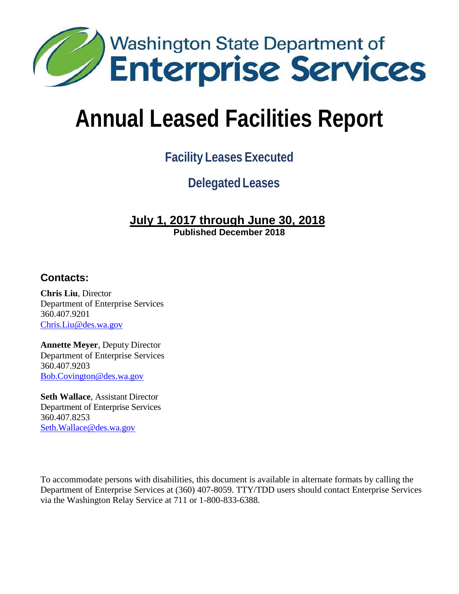

# **Annual Leased Facilities Report**

# **Facility Leases Executed**

## **Delegated Leases**

## **July 1, 2017 through June 30, 2018**

**Published December 2018**

#### **Contacts:**

**Chris Liu**, Director Department of Enterprise Services 360.407.9201 [Chris.Liu@des.wa.gov](mailto:Chris.Liu@des.wa.gov)

**Annette Meyer**, Deputy Director Department of Enterprise Services 360.407.9203 [Bob.Covington@des.wa.gov](mailto:Bob.Covington@des.wa.gov)

**Seth Wallace**, Assistant Director Department of Enterprise Services 360.407.8253 [Seth.Wallace@des.wa.gov](mailto:Seth.Wallace@des.wa.gov)

To accommodate persons with disabilities, this document is available in alternate formats by calling the Department of Enterprise Services at (360) 407-8059. TTY/TDD users should contact Enterprise Services via the Washington Relay Service at 711 or 1-800-833-6388.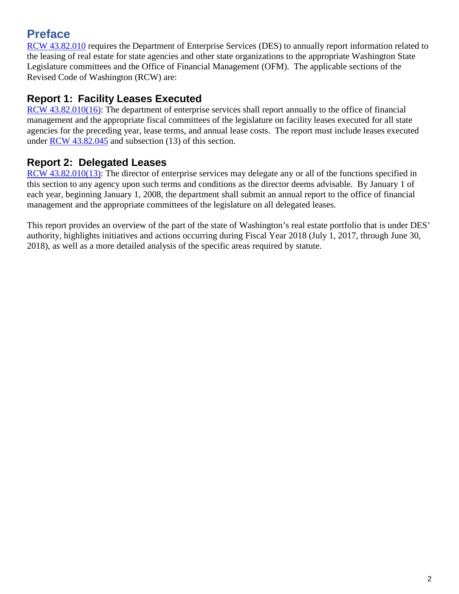## **Preface**

[RCW 43.82.010](http://apps.leg.wa.gov/rcw/default.aspx?cite=43.82.010) requires the Department of Enterprise Services (DES) to annually report information related to the leasing of real estate for state agencies and other state organizations to the appropriate Washington State Legislature committees and the Office of Financial Management (OFM). The applicable sections of the Revised Code of Washington (RCW) are:

#### **Report 1: Facility Leases Executed**

[RCW 43.82.010\(16\):](http://apps.leg.wa.gov/rcw/default.aspx?cite=43.82.010) The department of enterprise services shall report annually to the office of financial management and the appropriate fiscal committees of the legislature on facility leases executed for all state agencies for the preceding year, lease terms, and annual lease costs. The report must include leases executed under [RCW 43.82.045](http://apps.leg.wa.gov/rcw/default.aspx?cite=43.82.045) and subsection (13) of this section.

#### **Report 2: Delegated Leases**

[RCW 43.82.010\(13\):](http://apps.leg.wa.gov/rcw/default.aspx?cite=43.82.010) The director of enterprise services may delegate any or all of the functions specified in this section to any agency upon such terms and conditions as the director deems advisable. By January 1 of each year, beginning January 1, 2008, the department shall submit an annual report to the office of financial management and the appropriate committees of the legislature on all delegated leases.

This report provides an overview of the part of the state of Washington's real estate portfolio that is under DES' authority, highlights initiatives and actions occurring during Fiscal Year 2018 (July 1, 2017, through June 30, 2018), as well as a more detailed analysis of the specific areas required by statute.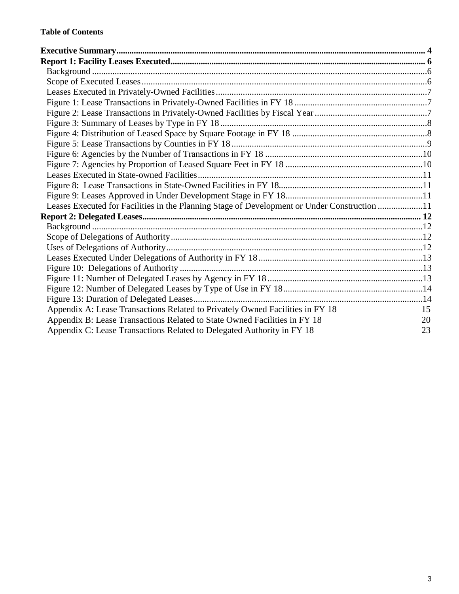| Leases Executed for Facilities in the Planning Stage of Development or Under Construction 11 |    |
|----------------------------------------------------------------------------------------------|----|
|                                                                                              |    |
|                                                                                              |    |
|                                                                                              |    |
|                                                                                              |    |
|                                                                                              |    |
|                                                                                              |    |
|                                                                                              |    |
|                                                                                              |    |
|                                                                                              |    |
| Appendix A: Lease Transactions Related to Privately Owned Facilities in FY 18                | 15 |
| Appendix B: Lease Transactions Related to State Owned Facilities in FY 18                    | 20 |
| Appendix C: Lease Transactions Related to Delegated Authority in FY 18                       | 23 |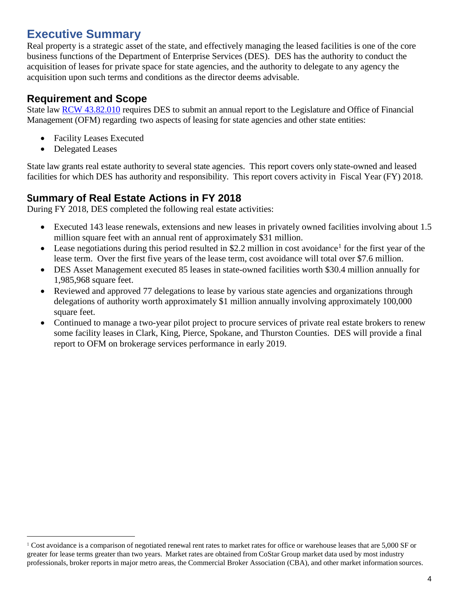## <span id="page-3-0"></span>**Executive Summary**

Real property is a strategic asset of the state, and effectively managing the leased facilities is one of the core business functions of the Department of Enterprise Services (DES). DES has the authority to conduct the acquisition of leases for private space for state agencies, and the authority to delegate to any agency the acquisition upon such terms and conditions as the director deems advisable.

#### **Requirement and Scope**

State law RCW [43.82.010](http://apps.leg.wa.gov/RCW/default.aspx?Cite=43.82.010) requires DES to submit an annual report to the Legislature and Office of Financial Management (OFM) regarding two aspects of leasing for state agencies and other state entities:

- Facility Leases Executed
- Delegated Leases

State law grants real estate authority to several state agencies. This report covers only state-owned and leased facilities for which DES has authority and responsibility. This report covers activity in Fiscal Year (FY) 2018.

#### **Summary of Real Estate Actions in FY 2018**

During FY 2018, DES completed the following real estate activities:

- Executed 143 lease renewals, extensions and new leases in privately owned facilities involving about 1.5 million square feet with an annual rent of approximately \$31 million.
- Lease negotiations during this period resulted in \$2.2 million in cost avoidance<sup>[1](#page-3-1)</sup> for the first year of the lease term. Over the first five years of the lease term, cost avoidance will total over \$7.6 million.
- DES Asset Management executed 85 leases in state-owned facilities worth \$30.4 million annually for 1,985,968 square feet.
- Reviewed and approved 77 delegations to lease by various state agencies and organizations through delegations of authority worth approximately \$1 million annually involving approximately 100,000 square feet.
- Continued to manage a two-year pilot project to procure services of private real estate brokers to renew some facility leases in Clark, King, Pierce, Spokane, and Thurston Counties. DES will provide a final report to OFM on brokerage services performance in early 2019.

<span id="page-3-1"></span> $1$  Cost avoidance is a comparison of negotiated renewal rent rates to market rates for office or warehouse leases that are 5,000 SF or greater for lease terms greater than two years. Market rates are obtained from CoStar Group market data used by most industry professionals, broker reports in major metro areas, the Commercial Broker Association (CBA), and other market information sources.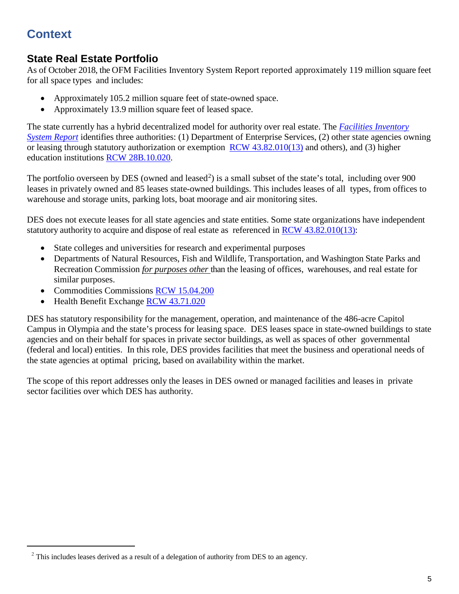## **Context**

#### **State Real Estate Portfolio**

As of October 2018, the OFM Facilities Inventory System Report reported approximately 119 million square feet for all space types and includes:

- Approximately 105.2 million square feet of state-owned space.
- Approximately 13.9 million square feet of leased space.

The state currently has a hybrid decentralized model for authority over real estate. The *Facilities [Inventory](https://ofm.wa.gov/sites/default/files/public/legacy/budget/facilities/documents/FacilitiesInventorySystem2017FinalReport.pdf) [System](https://ofm.wa.gov/sites/default/files/public/legacy/budget/facilities/documents/FacilitiesInventorySystem2017FinalReport.pdf) Report* identifies three authorities: (1) Department of Enterprise Services, (2) other state agencies owning or leasing through statutory authorization or exemption RCW [43.82.010\(13\)](http://apps.leg.wa.gov/rcw/default.aspx?cite=43.82.010) and others), and (3) higher education institutions RCW [28B.10.020.](http://apps.leg.wa.gov/rcw/default.aspx?cite=28B.10.020)

The portfolio overseen by DES (owned and leased<sup>[2](#page-4-0)</sup>) is a small subset of the state's total, including over 900 leases in privately owned and 85 leases state-owned buildings. This includes leases of all types, from offices to warehouse and storage units, parking lots, boat moorage and air monitoring sites.

DES does not execute leases for all state agencies and state entities. Some state organizations have independent statutory authority to acquire and dispose of real estate as referenced in RCW [43.82.010\(13\):](http://apps.leg.wa.gov/rcw/default.aspx?cite=43.82.010)

- State colleges and universities for research and experimental purposes
- Departments of Natural Resources, Fish and Wildlife, Transportation, and Washington State Parks and Recreation Commission *for purposes other* than the leasing of offices, warehouses, and real estate for similar purposes.
- Commodities Commissions [RCW 15.04.200](http://apps.leg.wa.gov/rcw/default.aspx?cite=15.04.200)
- Health Benefit Exchange RCW [43.71.020](http://app.leg.wa.gov/rcw/default.aspx?cite=43.71.020)

DES has statutory responsibility for the management, operation, and maintenance of the 486-acre Capitol Campus in Olympia and the state's process for leasing space. DES leases space in state-owned buildings to state agencies and on their behalf for spaces in private sector buildings, as well as spaces of other governmental (federal and local) entities. In this role, DES provides facilities that meet the business and operational needs of the state agencies at optimal pricing, based on availability within the market.

The scope of this report addresses only the leases in DES owned or managed facilities and leases in private sector facilities over which DES has authority.

<span id="page-4-0"></span> $2$  This includes leases derived as a result of a delegation of authority from DES to an agency.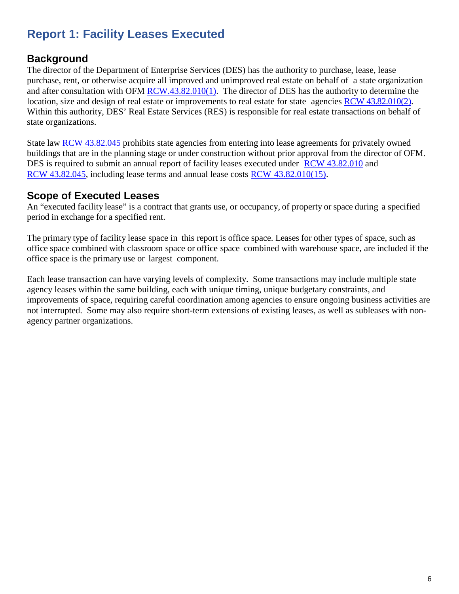## <span id="page-5-0"></span>**Report 1: Facility Leases Executed**

#### <span id="page-5-1"></span>**Background**

The director of the Department of Enterprise Services (DES) has the authority to purchase, lease, lease purchase, rent, or otherwise acquire all improved and unimproved real estate on behalf of a state organization and after consultation with OFM [RCW.43.82.010\(1\).](http://apps.leg.wa.gov/RCW/default.aspx?Cite=43.82.010) The director of DES has the authority to determine the location, size and design of real estate or improvements to real estate for state agencies RCW [43.82.010\(2\).](http://apps.leg.wa.gov/RCW/default.aspx?Cite=43.82.010) Within this authority, DES' Real Estate Services (RES) is responsible for real estate transactions on behalf of state organizations.

State law [RCW 43.82.045](http://apps.leg.wa.gov/rcw/default.aspx?cite=43.82.045) prohibits state agencies from entering into lease agreements for privately owned buildings that are in the planning stage or under construction without prior approval from the director of OFM. DES is required to submit an annual report of facility leases executed under RCW [43.82.010](http://apps.leg.wa.gov/RCW/default.aspx?Cite=43.82.010) and RCW [43.82.045,](http://apps.leg.wa.gov/rcw/default.aspx?cite=43.82.045) including lease terms and annual lease costs RCW [43.82.010\(15\).](http://apps.leg.wa.gov/RCW/default.aspx?Cite=43.82.010)

#### <span id="page-5-2"></span>**Scope of Executed Leases**

An "executed facility lease" is a contract that grants use, or occupancy, of property or space during a specified period in exchange for a specified rent.

The primary type of facility lease space in this report is office space. Leases for other types of space, such as office space combined with classroom space or office space combined with warehouse space, are included if the office space is the primary use or largest component.

Each lease transaction can have varying levels of complexity. Some transactions may include multiple state agency leases within the same building, each with unique timing, unique budgetary constraints, and improvements of space, requiring careful coordination among agencies to ensure ongoing business activities are not interrupted. Some may also require short-term extensions of existing leases, as well as subleases with nonagency partner organizations.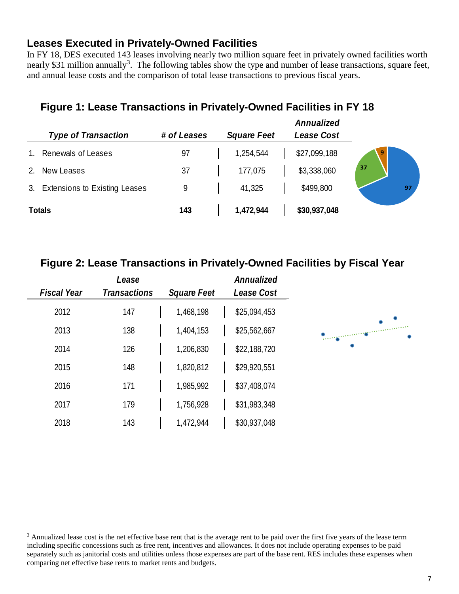#### <span id="page-6-0"></span>**Leases Executed in Privately-Owned Facilities**

In FY 18, DES executed 143 leases involving nearly two million square feet in privately owned facilities worth nearly \$[3](#page-6-3)1 million annually<sup>3</sup>. The following tables show the type and number of lease transactions, square feet, and annual lease costs and the comparison of total lease transactions to previous fiscal years.

#### <span id="page-6-1"></span>**Figure 1: Lease Transactions in Privately-Owned Facilities in FY 18**

| <b>Type of Transaction</b>       | # of Leases | <b>Square Feet</b> | Annualized<br>Lease Cost |    |
|----------------------------------|-------------|--------------------|--------------------------|----|
| Renewals of Leases               | 97          | 1,254,544          | \$27,099,188             | 9  |
| New Leases                       | 37          | 177,075            | \$3,338,060              | 37 |
| 3. Extensions to Existing Leases | 9           | 41,325             | \$499,800                | 97 |
| <b>Totals</b>                    | 143         | 1,472,944          | \$30,937,048             |    |

#### <span id="page-6-2"></span>**Figure 2: Lease Transactions in Privately-Owned Facilities by Fiscal Year**

| Annualized   |                    | Lease               |                    |
|--------------|--------------------|---------------------|--------------------|
| Lease Cost   | <b>Square Feet</b> | <b>Transactions</b> | <b>Fiscal Year</b> |
| \$25,094,453 | 1,468,198          | 147                 | 2012               |
| \$25,562,667 | 1,404,153          | 138                 | 2013               |
| \$22,188,720 | 1,206,830          | 126                 | 2014               |
| \$29,920,551 | 1,820,812          | 148                 | 2015               |
| \$37,408,074 | 1,985,992          | 171                 | 2016               |
| \$31,983,348 | 1,756,928          | 179                 | 2017               |
| \$30,937,048 | 1,472,944          | 143                 | 2018               |

 $\overline{a}$ 

<span id="page-6-3"></span><sup>&</sup>lt;sup>3</sup> Annualized lease cost is the net effective base rent that is the average rent to be paid over the first five years of the lease term including specific concessions such as free rent, incentives and allowances. It does not include operating expenses to be paid separately such as janitorial costs and utilities unless those expenses are part of the base rent. RES includes these expenses when comparing net effective base rents to market rents and budgets.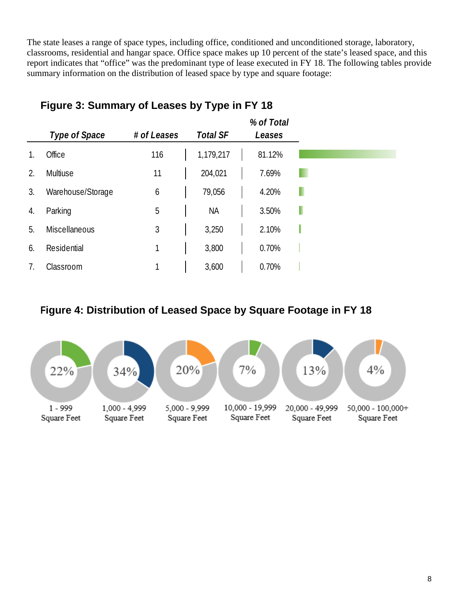The state leases a range of space types, including office, conditioned and unconditioned storage, laboratory, classrooms, residential and hangar space. Office space makes up 10 percent of the state's leased space, and this report indicates that "office" was the predominant type of lease executed in FY 18. The following tables provide summary information on the distribution of leased space by type and square footage:

|    |                   |             |                 | % of Total |
|----|-------------------|-------------|-----------------|------------|
|    | Type of Space     | # of Leases | <b>Total SF</b> | Leases     |
| 1. | Office            | 116         | 1,179,217       | 81.12%     |
| 2. | Multiuse          | 11          | 204,021         | 7.69%      |
| 3. | Warehouse/Storage | 6           | 79,056          | 4.20%      |
| 4. | Parking           | 5           | <b>NA</b>       | 3.50%      |
| 5. | Miscellaneous     | 3           | 3,250           | 2.10%      |
| 6. | Residential       | 1           | 3,800           | 0.70%      |
|    | Classroom         | 1           | 3,600           | 0.70%      |

#### <span id="page-7-0"></span>**Figure 3: Summary of Leases by Type in FY 18**

#### <span id="page-7-1"></span>**Figure 4: Distribution of Leased Space by Square Footage in FY 18**

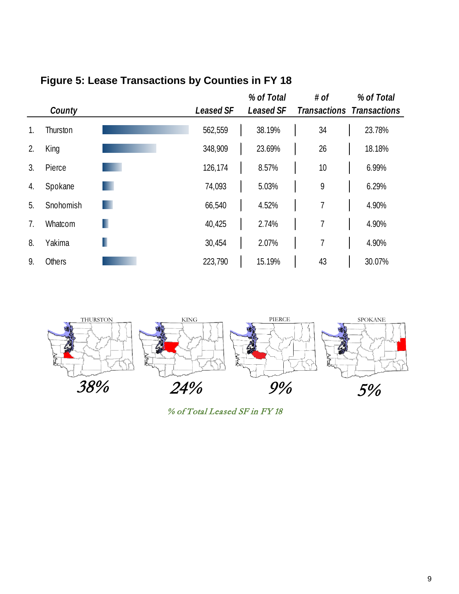|                | County        |   | <b>Leased SF</b> | % of Total<br><b>Leased SF</b> | # of           | % of Total<br><b>Transactions Transactions</b> |
|----------------|---------------|---|------------------|--------------------------------|----------------|------------------------------------------------|
| 1.             | Thurston      |   | 562,559          | 38.19%                         | 34             | 23.78%                                         |
| 2.             | King          |   | 348,909          | 23.69%                         | 26             | 18.18%                                         |
| 3.             | Pierce        |   | 126,174          | 8.57%                          | 10             | 6.99%                                          |
| 4.             | Spokane       |   | 74,093           | 5.03%                          | 9              | 6.29%                                          |
| 5.             | Snohomish     |   | 66,540           | 4.52%                          | 7              | 4.90%                                          |
| 7 <sub>1</sub> | Whatcom       | п | 40,425           | 2.74%                          | 7              | 4.90%                                          |
| 8.             | Yakima        | ı | 30,454           | 2.07%                          | $\overline{1}$ | 4.90%                                          |
| 9.             | <b>Others</b> |   | 223,790          | 15.19%                         | 43             | 30.07%                                         |

## <span id="page-8-0"></span>**Figure 5: Lease Transactions by Counties in FY 18**

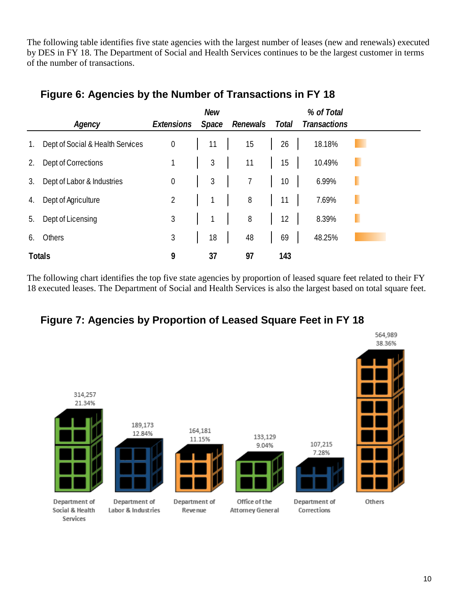The following table identifies five state agencies with the largest number of leases (new and renewals) executed by DES in FY 18. The Department of Social and Health Services continues to be the largest customer in terms of the number of transactions.

|             | Agency                           | Extensions     | <b>New</b><br>Space | Renewals | Total | % of Total<br><b>Transactions</b> |   |
|-------------|----------------------------------|----------------|---------------------|----------|-------|-----------------------------------|---|
| $1_{\cdot}$ | Dept of Social & Health Services | $\theta$       | 11                  | 15       | 26    | 18.18%                            |   |
| 2.          | Dept of Corrections              |                | $\mathfrak{Z}$      | 11       | 15    | 10.49%                            | н |
| 3.          | Dept of Labor & Industries       | $\overline{0}$ | 3                   | 7        | 10    | 6.99%                             | ٠ |
| 4.          | Dept of Agriculture              | $\overline{2}$ |                     | 8        | 11    | 7.69%                             | п |
| 5.          | Dept of Licensing                | $\mathfrak{Z}$ |                     | $\, 8$   | 12    | 8.39%                             | ш |
| 6.          | Others                           | $\mathfrak{Z}$ | 18                  | 48       | 69    | 48.25%                            |   |
|             | <b>Totals</b>                    | 9              | 37                  | 97       | 143   |                                   |   |

#### <span id="page-9-0"></span>**Figure 6: Agencies by the Number of Transactions in FY 18**

The following chart identifies the top five state agencies by proportion of leased square feet related to their FY 18 executed leases. The Department of Social and Health Services is also the largest based on total square feet.

#### <span id="page-9-1"></span>**Figure 7: Agencies by Proportion of Leased Square Feet in FY 18**

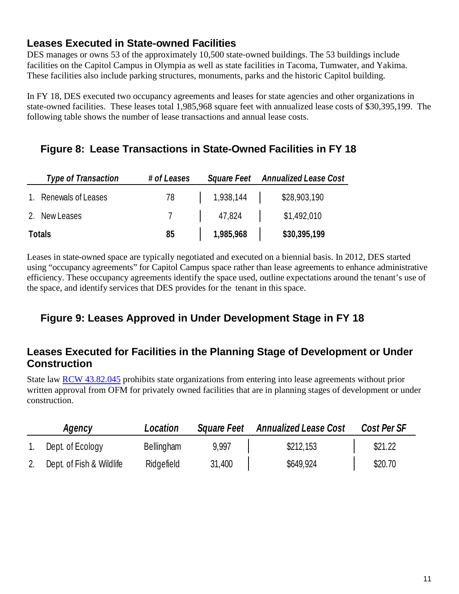#### <span id="page-10-0"></span>**Leases Executed in State-owned Facilities**

DES manages or owns 53 of the approximately 10,500 state-owned buildings. The 53 buildings include facilities on the Capitol Campus in Olympia as well as state facilities in Tacoma, Tumwater, and Yakima. These facilities also include parking structures, monuments, parks and the historic Capitol building.

In FY 18, DES executed two occupancy agreements and leases for state agencies and other organizations in state-owned facilities. These leases total 1,985,968 square feet with annualized lease costs of \$30,395,199. The following table shows the number of lease transactions and annual lease costs.

#### <span id="page-10-1"></span>**Figure 8: Lease Transactions in State-Owned Facilities in FY 18**

| <b>Type of Transaction</b> | # of Leases |           | Square Feet Annualized Lease Cost |
|----------------------------|-------------|-----------|-----------------------------------|
| 1. Renewals of Leases      | 78          | 1,938,144 | \$28,903,190                      |
| 2. New Leases              |             | 47,824    | \$1,492,010                       |
| <b>Totals</b>              | 85          | 1,985,968 | \$30,395,199                      |

Leases in state-owned space are typically negotiated and executed on a biennial basis. In 2012, DES started using "occupancy agreements" for Capitol Campus space rather than lease agreements to enhance administrative efficiency. These occupancy agreements identify the space used, outline expectations around the tenant's use of the space, and identify services that DES provides for the tenant in this space.

#### <span id="page-10-2"></span>**Figure 9: Leases Approved in Under Development Stage in FY 18**

#### <span id="page-10-3"></span>**Leases Executed for Facilities in the Planning Stage of Development or Under Construction**

State law [RCW 43.82.045](http://apps.leg.wa.gov/rcw/default.aspx?cite=43.82.045) prohibits state organizations from entering into lease agreements without prior written approval from OFM for privately owned facilities that are in planning stages of development or under construction.

| Agency                   | Location          | <b>Square Feet</b> | <b>Annualized Lease Cost</b> | Cost Per SF |
|--------------------------|-------------------|--------------------|------------------------------|-------------|
| Dept. of Ecology         | <b>Bellingham</b> | 9,997              | \$212,153                    | \$21.22     |
| Dept. of Fish & Wildlife | Ridgefield        | 31,400             | \$649,924                    | \$20.70     |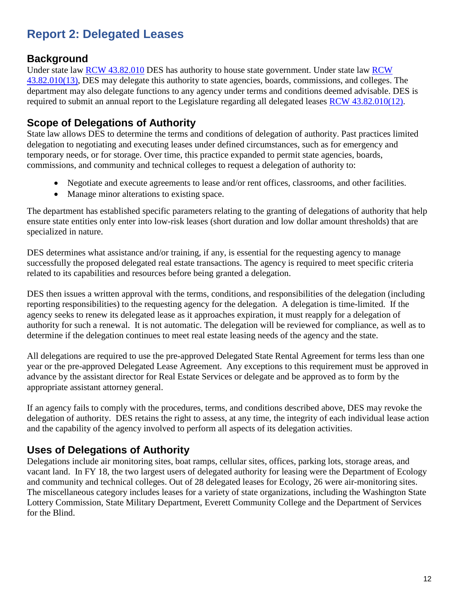## <span id="page-11-0"></span>**Report 2: Delegated Leases**

#### <span id="page-11-1"></span>**Background**

Under state law **[RCW](http://apps.leg.wa.gov/rcw/default.aspx?cite=43.82.010) 43.82.010 DES** has authority to house state government. Under state law **RCW** [43.82.010\(13\),](http://apps.leg.wa.gov/rcw/default.aspx?cite=43.82.010) DES may delegate this authority to state agencies, boards, commissions, and colleges. The department may also delegate functions to any agency under terms and conditions deemed advisable. DES is required to submit an annual report to the Legislature regarding all delegated leases [RCW 43.82.010\(12\).](http://apps.leg.wa.gov/rcw/default.aspx?cite=43.82.010)

#### <span id="page-11-2"></span>**Scope of Delegations of Authority**

State law allows DES to determine the terms and conditions of delegation of authority. Past practices limited delegation to negotiating and executing leases under defined circumstances, such as for emergency and temporary needs, or for storage. Over time, this practice expanded to permit state agencies, boards, commissions, and community and technical colleges to request a delegation of authority to:

- Negotiate and execute agreements to lease and/or rent offices, classrooms, and other facilities.
- Manage minor alterations to existing space.

The department has established specific parameters relating to the granting of delegations of authority that help ensure state entities only enter into low-risk leases (short duration and low dollar amount thresholds) that are specialized in nature.

DES determines what assistance and/or training, if any, is essential for the requesting agency to manage successfully the proposed delegated real estate transactions. The agency is required to meet specific criteria related to its capabilities and resources before being granted a delegation.

DES then issues a written approval with the terms, conditions, and responsibilities of the delegation (including reporting responsibilities) to the requesting agency for the delegation. A delegation is time-limited. If the agency seeks to renew its delegated lease as it approaches expiration, it must reapply for a delegation of authority for such a renewal. It is not automatic. The delegation will be reviewed for compliance, as well as to determine if the delegation continues to meet real estate leasing needs of the agency and the state.

All delegations are required to use the pre-approved Delegated State Rental Agreement for terms less than one year or the pre-approved Delegated Lease Agreement. Any exceptions to this requirement must be approved in advance by the assistant director for Real Estate Services or delegate and be approved as to form by the appropriate assistant attorney general.

If an agency fails to comply with the procedures, terms, and conditions described above, DES may revoke the delegation of authority. DES retains the right to assess, at any time, the integrity of each individual lease action and the capability of the agency involved to perform all aspects of its delegation activities.

#### <span id="page-11-3"></span>**Uses of Delegations of Authority**

Delegations include air monitoring sites, boat ramps, cellular sites, offices, parking lots, storage areas, and vacant land. In FY 18, the two largest users of delegated authority for leasing were the Department of Ecology and community and technical colleges. Out of 28 delegated leases for Ecology, 26 were air-monitoring sites. The miscellaneous category includes leases for a variety of state organizations, including the Washington State Lottery Commission, State Military Department, Everett Community College and the Department of Services for the Blind.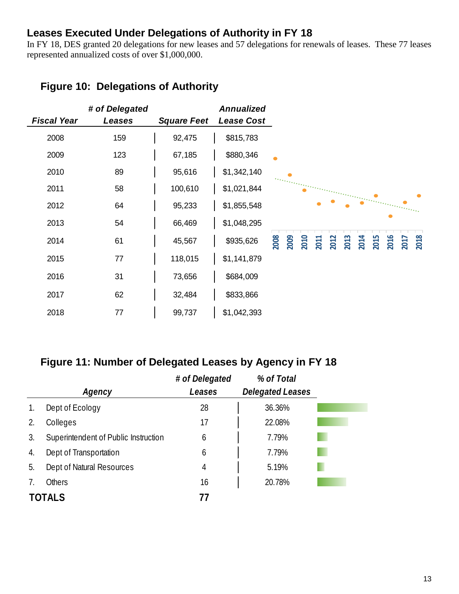#### <span id="page-12-0"></span>**Leases Executed Under Delegations of Authority in FY 18**

In FY 18, DES granted 20 delegations for new leases and 57 delegations for renewals of leases. These 77 leases represented annualized costs of over \$1,000,000.

| <b>Fiscal Year</b> | # of Delegated<br>Leases | <b>Square Feet</b> | Annualized<br>Lease Cost |                                                                                             |
|--------------------|--------------------------|--------------------|--------------------------|---------------------------------------------------------------------------------------------|
| 2008               | 159                      | 92,475             | \$815,783                |                                                                                             |
| 2009               | 123                      | 67,185             | \$880,346                |                                                                                             |
| 2010               | 89                       | 95,616             | \$1,342,140              |                                                                                             |
| 2011               | 58                       | 100,610            | \$1,021,844              |                                                                                             |
| 2012               | 64                       | 95,233             | \$1,855,548              |                                                                                             |
| 2013               | 54                       | 66,469             | \$1,048,295              |                                                                                             |
| 2014               | 61                       | 45,567             | \$935,626                | 2008<br>2009<br>2010<br>2013<br>2014<br><b>2015</b><br>2016<br>2012<br>2018<br>2011<br>2017 |
| 2015               | 77                       | 118,015            | \$1,141,879              |                                                                                             |
| 2016               | 31                       | 73,656             | \$684,009                |                                                                                             |
| 2017               | 62                       | 32,484             | \$833,866                |                                                                                             |
| 2018               | 77                       | 99,737             | \$1,042,393              |                                                                                             |

#### <span id="page-12-1"></span>**Figure 10: Delegations of Authority**

#### <span id="page-12-2"></span>**Figure 11: Number of Delegated Leases by Agency in FY 18**

|               |                                      | # of Delegated | % of Total              |
|---------------|--------------------------------------|----------------|-------------------------|
|               | Agency                               | Leases         | <b>Delegated Leases</b> |
| 1.            | Dept of Ecology                      | 28             | 36.36%                  |
| 2.            | Colleges                             | 17             | 22.08%                  |
| 3.            | Superintendent of Public Instruction | 6              | 7.79%                   |
| 4.            | Dept of Transportation               | 6              | 7.79%                   |
| 5.            | Dept of Natural Resources            | 4              | 5.19%                   |
|               | <b>Others</b>                        | 16             | 20.78%                  |
| <b>TOTALS</b> |                                      | 77             |                         |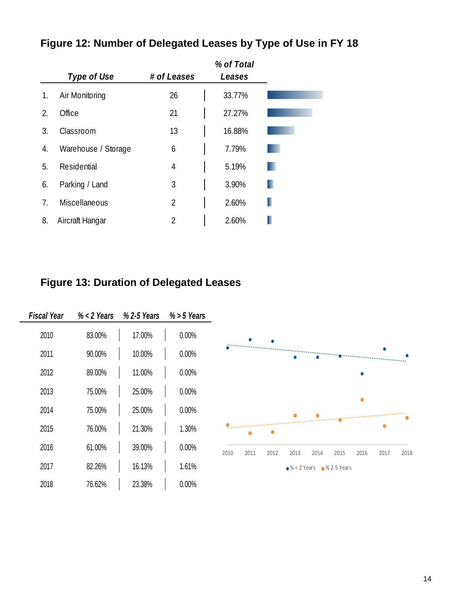|    |                     |                | % of Total |
|----|---------------------|----------------|------------|
|    | Type of Use         | # of Leases    | Leases     |
| 1. | Air Monitoring      | 26             | 33.77%     |
| 2. | Office              | 21             | 27.27%     |
| 3. | Classroom           | 13             | 16.88%     |
| 4. | Warehouse / Storage | 6              | 7.79%      |
| 5. | Residential         | 4              | 5.19%      |
| 6. | Parking / Land      | 3              | 3.90%      |
| 7. | Miscellaneous       | $\overline{2}$ | 2.60%      |
| 8. | Aircraft Hangar     | 2              | 2.60%      |

## <span id="page-13-0"></span>**Figure 12: Number of Delegated Leases by Type of Use in FY 18**

## <span id="page-13-1"></span>**Figure 13: Duration of Delegated Leases**

| <b>Fiscal Year</b> | $% < 2$ Years | %2-5 Years | $% > 5$ Years |                                                                      |
|--------------------|---------------|------------|---------------|----------------------------------------------------------------------|
| 2010               | 83.00%        | 17.00%     | 0.00%         |                                                                      |
| 2011               | 90.00%        | 10.00%     | 0.00%         |                                                                      |
| 2012               | 89.00%        | 11.00%     | 0.00%         |                                                                      |
| 2013               | 75.00%        | 25.00%     | 0.00%         | Ο                                                                    |
| 2014               | 75.00%        | 25.00%     | 0.00%         |                                                                      |
| 2015               | 76.00%        | 21.30%     | 1.30%         |                                                                      |
| 2016               | 61.00%        | 39.00%     | 0.00%         | 2011<br>2012<br>2018<br>2010<br>2013<br>2014<br>2015<br>2016<br>2017 |
| 2017               | 82.26%        | 16.13%     | 1.61%         | $\bullet\%$ < 2 Years $\bullet\%$ 2-5 Years                          |
| 2018               | 76.62%        | 23.38%     | 0.00%         |                                                                      |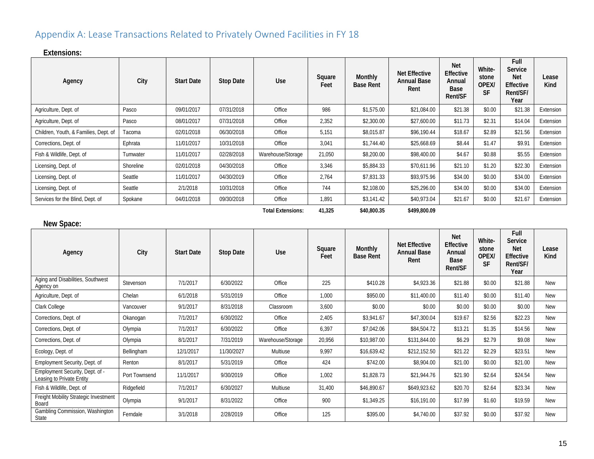## Appendix A: Lease Transactions Related to Privately Owned Facilities in FY 18

#### **Extensions:**

| Agency                                | City      | <b>Start Date</b> | <b>Stop Date</b> | Use               | Square<br>Feet | <b>Monthly</b><br><b>Base Rent</b> | <b>Net Effective</b><br><b>Annual Base</b><br>Rent | <b>Net</b><br><b>Effective</b><br>Annual<br>Base<br>Rent/SF | White-<br>stone<br>OPEX/<br><b>SF</b> | Full<br>Service<br><b>Net</b><br><b>Effective</b><br>Rent/SF/<br>Year | Lease<br>Kind |
|---------------------------------------|-----------|-------------------|------------------|-------------------|----------------|------------------------------------|----------------------------------------------------|-------------------------------------------------------------|---------------------------------------|-----------------------------------------------------------------------|---------------|
| Agriculture, Dept. of                 | Pasco     | 09/01/2017        | 07/31/2018       | Office            | 986            | \$1,575.00                         | \$21,084.00                                        | \$21.38                                                     | \$0.00                                | \$21.38                                                               | Extension     |
| Agriculture, Dept. of                 | Pasco     | 08/01/2017        | 07/31/2018       | Office            | 2,352          | \$2,300.00                         | \$27,600.00                                        | \$11.73                                                     | \$2.31                                | \$14.04                                                               | Extension     |
| Children, Youth, & Families, Dept. of | Tacoma    | 02/01/2018        | 06/30/2018       | Office            | 5,151          | \$8,015.87                         | \$96,190.44                                        | \$18.67                                                     | \$2.89                                | \$21.56                                                               | Extension     |
| Corrections, Dept. of                 | Ephrata   | 11/01/2017        | 10/31/2018       | Office            | 3,041          | \$1,744.40                         | \$25,668.69                                        | \$8.44                                                      | \$1.47                                | \$9.91                                                                | Extension     |
| Fish & Wildlife, Dept. of             | Tumwater  | 11/01/2017        | 02/28/2018       | Warehouse/Storage | 21,050         | \$8,200.00                         | \$98,400.00                                        | \$4.67                                                      | \$0.88                                | \$5.55                                                                | Extension     |
| Licensing, Dept. of                   | Shoreline | 02/01/2018        | 04/30/2018       | Office            | 3,346          | \$5,884.33                         | \$70,611.96                                        | \$21.10                                                     | \$1.20                                | \$22.30                                                               | Extension     |
| Licensing, Dept. of                   | Seattle   | 11/01/2017        | 04/30/2019       | Office            | 2,764          | \$7,831.33                         | \$93,975.96                                        | \$34.00                                                     | \$0.00                                | \$34.00                                                               | Extension     |
| Licensing, Dept. of                   | Seattle   | 2/1/2018          | 10/31/2018       | Office            | 744            | \$2,108.00                         | \$25,296.00                                        | \$34.00                                                     | \$0.00                                | \$34.00                                                               | Extension     |
| Services for the Blind, Dept. of      | Spokane   | 04/01/2018        | 09/30/2018       | Office            | 1.891          | \$3,141.42                         | \$40,973.04                                        | \$21.67                                                     | \$0.00                                | \$21.67                                                               | Extension     |

**Total Extensions: 41,325 \$40,800.35 \$499,800.09**

<span id="page-14-0"></span>

| New Space:                                                   |               |                   |                  |                   |                |                             |                                                    |                                                             |                                       |                                                                       |               |
|--------------------------------------------------------------|---------------|-------------------|------------------|-------------------|----------------|-----------------------------|----------------------------------------------------|-------------------------------------------------------------|---------------------------------------|-----------------------------------------------------------------------|---------------|
| Agency                                                       | City          | <b>Start Date</b> | <b>Stop Date</b> | Use               | Square<br>Feet | Monthly<br><b>Base Rent</b> | <b>Net Effective</b><br><b>Annual Base</b><br>Rent | <b>Net</b><br><b>Effective</b><br>Annual<br>Base<br>Rent/SF | White-<br>stone<br>OPEX/<br><b>SF</b> | Full<br>Service<br><b>Net</b><br><b>Effective</b><br>Rent/SF/<br>Year | Lease<br>Kind |
| Aging and Disabilities, Southwest<br>Agency on               | Stevenson     | 7/1/2017          | 6/30/2022        | Office            | 225            | \$410.28                    | \$4,923.36                                         | \$21.88                                                     | \$0.00                                | \$21.88                                                               | <b>New</b>    |
| Agriculture, Dept. of                                        | Chelan        | 6/1/2018          | 5/31/2019        | Office            | 1,000          | \$950.00                    | \$11,400.00                                        | \$11.40                                                     | \$0.00                                | \$11.40                                                               | <b>New</b>    |
| Clark College                                                | Vancouver     | 9/1/2017          | 8/31/2018        | Classroom         | 3,600          | \$0.00                      | \$0.00                                             | \$0.00                                                      | \$0.00                                | \$0.00                                                                | New           |
| Corrections, Dept. of                                        | Okanogan      | 7/1/2017          | 6/30/2022        | Office            | 2,405          | \$3,941.67                  | \$47,300.04                                        | \$19.67                                                     | \$2.56                                | \$22.23                                                               | New           |
| Corrections, Dept. of                                        | Olympia       | 7/1/2017          | 6/30/2022        | Office            | 6,397          | \$7,042.06                  | \$84,504.72                                        | \$13.21                                                     | \$1.35                                | \$14.56                                                               | New           |
| Corrections, Dept. of                                        | Olympia       | 8/1/2017          | 7/31/2019        | Warehouse/Storage | 20,956         | \$10,987.00                 | \$131,844.00                                       | \$6.29                                                      | \$2.79                                | \$9.08                                                                | New           |
| Ecology, Dept. of                                            | Bellingham    | 12/1/2017         | 11/30/2027       | Multiuse          | 9,997          | \$16,639.42                 | \$212,152.50                                       | \$21.22                                                     | \$2.29                                | \$23.51                                                               | New           |
| Employment Security, Dept. of                                | Renton        | 8/1/2017          | 5/31/2019        | Office            | 424            | \$742.00                    | \$8,904.00                                         | \$21.00                                                     | \$0.00                                | \$21.00                                                               | <b>New</b>    |
| Employment Security, Dept. of -<br>Leasing to Private Entity | Port Townsend | 11/1/2017         | 9/30/2019        | Office            | 1,002          | \$1,828.73                  | \$21,944.76                                        | \$21.90                                                     | \$2.64                                | \$24.54                                                               | New           |
| Fish & Wildlife, Dept. of                                    | Ridgefield    | 7/1/2017          | 6/30/2027        | Multiuse          | 31,400         | \$46,890.67                 | \$649,923.62                                       | \$20.70                                                     | \$2.64                                | \$23.34                                                               | New           |
| Freight Mobility Strategic Investment<br>Board               | Olympia       | 9/1/2017          | 8/31/2022        | Office            | 900            | \$1,349.25                  | \$16,191.00                                        | \$17.99                                                     | \$1.60                                | \$19.59                                                               | <b>New</b>    |
| Gambling Commission, Washington<br>State                     | Ferndale      | 3/1/2018          | 2/28/2019        | Office            | 125            | \$395.00                    | \$4,740.00                                         | \$37.92                                                     | \$0.00                                | \$37.92                                                               | <b>New</b>    |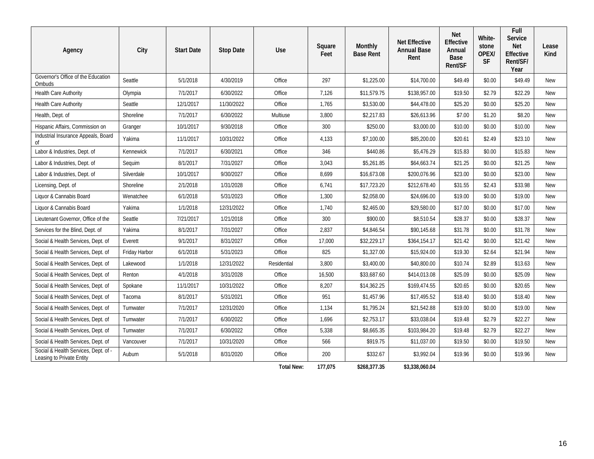| Agency                                                            | City          | <b>Start Date</b> | <b>Stop Date</b> | Use               | Square<br>Feet | Monthly<br><b>Base Rent</b> | <b>Net Effective</b><br><b>Annual Base</b><br>Rent | <b>Net</b><br>Effective<br>Annual<br>Base<br>Rent/SF | White-<br>stone<br>OPEX/<br><b>SF</b> | Full<br><b>Service</b><br><b>Net</b><br>Effective<br>Rent/SF/<br>Year | Lease<br>Kind |
|-------------------------------------------------------------------|---------------|-------------------|------------------|-------------------|----------------|-----------------------------|----------------------------------------------------|------------------------------------------------------|---------------------------------------|-----------------------------------------------------------------------|---------------|
| Governor's Office of the Education<br>Ombuds                      | Seattle       | 5/1/2018          | 4/30/2019        | Office            | 297            | \$1,225.00                  | \$14,700.00                                        | \$49.49                                              | \$0.00                                | \$49.49                                                               | <b>New</b>    |
| Health Care Authority                                             | Olympia       | 7/1/2017          | 6/30/2022        | Office            | 7,126          | \$11,579.75                 | \$138,957.00                                       | \$19.50                                              | \$2.79                                | \$22.29                                                               | <b>New</b>    |
| Health Care Authority                                             | Seattle       | 12/1/2017         | 11/30/2022       | Office            | 1,765          | \$3,530.00                  | \$44,478.00                                        | \$25.20                                              | \$0.00                                | \$25.20                                                               | <b>New</b>    |
| Health, Dept. of                                                  | Shoreline     | 7/1/2017          | 6/30/2022        | Multiuse          | 3,800          | \$2,217.83                  | \$26,613.96                                        | \$7.00                                               | \$1.20                                | \$8.20                                                                | <b>New</b>    |
| Hispanic Affairs, Commission on                                   | Granger       | 10/1/2017         | 9/30/2018        | Office            | 300            | \$250.00                    | \$3,000.00                                         | \$10.00                                              | \$0.00                                | \$10.00                                                               | <b>New</b>    |
| Industrial Insurance Appeals, Board<br>οf                         | Yakima        | 11/1/2017         | 10/31/2022       | Office            | 4,133          | \$7,100.00                  | \$85,200.00                                        | \$20.61                                              | \$2.49                                | \$23.10                                                               | <b>New</b>    |
| Labor & Industries, Dept. of                                      | Kennewick     | 7/1/2017          | 6/30/2021        | Office            | 346            | \$440.86                    | \$5,476.29                                         | \$15.83                                              | \$0.00                                | \$15.83                                                               | <b>New</b>    |
| Labor & Industries, Dept. of                                      | Sequim        | 8/1/2017          | 7/31/2027        | Office            | 3,043          | \$5,261.85                  | \$64,663.74                                        | \$21.25                                              | \$0.00                                | \$21.25                                                               | <b>New</b>    |
| Labor & Industries, Dept. of                                      | Silverdale    | 10/1/2017         | 9/30/2027        | Office            | 8,699          | \$16,673.08                 | \$200,076.96                                       | \$23.00                                              | \$0.00                                | \$23.00                                                               | New           |
| Licensing, Dept. of                                               | Shoreline     | 2/1/2018          | 1/31/2028        | Office            | 6,741          | \$17,723.20                 | \$212,678.40                                       | \$31.55                                              | \$2.43                                | \$33.98                                                               | <b>New</b>    |
| Liquor & Cannabis Board                                           | Wenatchee     | 6/1/2018          | 5/31/2023        | Office            | 1,300          | \$2,058.00                  | \$24,696.00                                        | \$19.00                                              | \$0.00                                | \$19.00                                                               | <b>New</b>    |
| Liquor & Cannabis Board                                           | Yakima        | 1/1/2018          | 12/31/2022       | Office            | 1,740          | \$2.465.00                  | \$29,580.00                                        | \$17.00                                              | \$0.00                                | \$17.00                                                               | <b>New</b>    |
| Lieutenant Governor, Office of the                                | Seattle       | 7/21/2017         | 1/21/2018        | Office            | 300            | \$900.00                    | \$8,510.54                                         | \$28.37                                              | \$0.00                                | \$28.37                                                               | <b>New</b>    |
| Services for the Blind, Dept. of                                  | Yakima        | 8/1/2017          | 7/31/2027        | Office            | 2,837          | \$4,846.54                  | \$90,145.68                                        | \$31.78                                              | \$0.00                                | \$31.78                                                               | <b>New</b>    |
| Social & Health Services, Dept. of                                | Everett       | 9/1/2017          | 8/31/2027        | Office            | 17,000         | \$32,229.17                 | \$364,154.17                                       | \$21.42                                              | \$0.00                                | \$21.42                                                               | <b>New</b>    |
| Social & Health Services, Dept. of                                | Friday Harbor | 6/1/2018          | 5/31/2023        | Office            | 825            | \$1,327.00                  | \$15,924.00                                        | \$19.30                                              | \$2.64                                | \$21.94                                                               | <b>New</b>    |
| Social & Health Services, Dept. of                                | Lakewood      | 1/1/2018          | 12/31/2022       | Residential       | 3,800          | \$3,400.00                  | \$40,800.00                                        | \$10.74                                              | \$2.89                                | \$13.63                                                               | <b>New</b>    |
| Social & Health Services, Dept. of                                | Renton        | 4/1/2018          | 3/31/2028        | Office            | 16,500         | \$33,687.60                 | \$414,013.08                                       | \$25.09                                              | \$0.00                                | \$25.09                                                               | <b>New</b>    |
| Social & Health Services, Dept. of                                | Spokane       | 11/1/2017         | 10/31/2022       | Office            | 8,207          | \$14,362.25                 | \$169,474.55                                       | \$20.65                                              | \$0.00                                | \$20.65                                                               | <b>New</b>    |
| Social & Health Services, Dept. of                                | Tacoma        | 8/1/2017          | 5/31/2021        | Office            | 951            | \$1,457.96                  | \$17,495.52                                        | \$18.40                                              | \$0.00                                | \$18.40                                                               | <b>New</b>    |
| Social & Health Services, Dept. of                                | Tumwater      | 7/1/2017          | 12/31/2020       | Office            | 1,134          | \$1,795.24                  | \$21,542.88                                        | \$19.00                                              | \$0.00                                | \$19.00                                                               | <b>New</b>    |
| Social & Health Services, Dept. of                                | Tumwater      | 7/1/2017          | 6/30/2022        | Office            | 1,696          | \$2,753.17                  | \$33,038.04                                        | \$19.48                                              | \$2.79                                | \$22.27                                                               | New           |
| Social & Health Services, Dept. of                                | Tumwater      | 7/1/2017          | 6/30/2022        | Office            | 5,338          | \$8,665.35                  | \$103,984.20                                       | \$19.48                                              | \$2.79                                | \$22.27                                                               | <b>New</b>    |
| Social & Health Services, Dept. of                                | Vancouver     | 7/1/2017          | 10/31/2020       | Office            | 566            | \$919.75                    | \$11,037.00                                        | \$19.50                                              | \$0.00                                | \$19.50                                                               | <b>New</b>    |
| Social & Health Services, Dept. of -<br>Leasing to Private Entity | Auburn        | 5/1/2018          | 8/31/2020        | Office            | 200            | \$332.67                    | \$3,992.04                                         | \$19.96                                              | \$0.00                                | \$19.96                                                               | <b>New</b>    |
|                                                                   |               |                   |                  | <b>Total New:</b> | 177,075        | \$268,377.35                | \$3,338,060.04                                     |                                                      |                                       |                                                                       |               |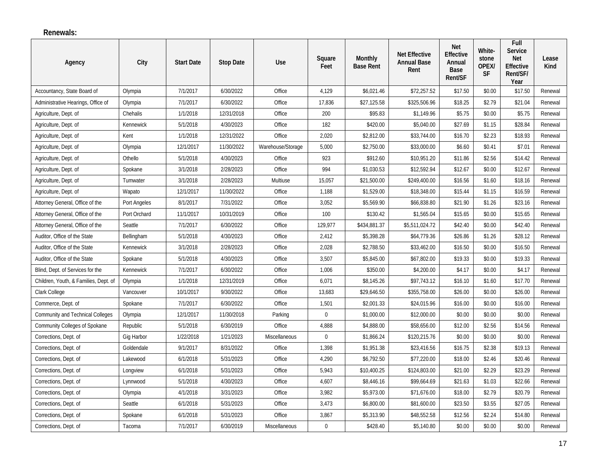#### **Renewals:**

| Agency                                  | City         | <b>Start Date</b> | <b>Stop Date</b> | <b>Use</b>        | Square<br>Feet | Monthly<br><b>Base Rent</b> | <b>Net Effective</b><br><b>Annual Base</b><br>Rent | <b>Net</b><br>Effective<br>Annual<br>Base<br>Rent/SF | White-<br>stone<br>OPEX/<br><b>SF</b> | Full<br><b>Service</b><br><b>Net</b><br><b>Effective</b><br>Rent/SF/<br>Year | Lease<br>Kind |
|-----------------------------------------|--------------|-------------------|------------------|-------------------|----------------|-----------------------------|----------------------------------------------------|------------------------------------------------------|---------------------------------------|------------------------------------------------------------------------------|---------------|
| Accountancy, State Board of             | Olympia      | 7/1/2017          | 6/30/2022        | Office            | 4,129          | \$6,021.46                  | \$72,257.52                                        | \$17.50                                              | \$0.00                                | \$17.50                                                                      | Renewal       |
| Administrative Hearings, Office of      | Olympia      | 7/1/2017          | 6/30/2022        | Office            | 17,836         | \$27,125.58                 | \$325,506.96                                       | \$18.25                                              | \$2.79                                | \$21.04                                                                      | Renewal       |
| Agriculture, Dept. of                   | Chehalis     | 1/1/2018          | 12/31/2018       | Office            | 200            | \$95.83                     | \$1,149.96                                         | \$5.75                                               | \$0.00                                | \$5.75                                                                       | Renewal       |
| Agriculture, Dept. of                   | Kennewick    | 5/1/2018          | 4/30/2023        | Office            | 182            | \$420.00                    | \$5,040.00                                         | \$27.69                                              | \$1.15                                | \$28.84                                                                      | Renewal       |
| Agriculture, Dept. of                   | Kent         | 1/1/2018          | 12/31/2022       | Office            | 2,020          | \$2,812.00                  | \$33,744.00                                        | \$16.70                                              | \$2.23                                | \$18.93                                                                      | Renewal       |
| Agriculture, Dept. of                   | Olympia      | 12/1/2017         | 11/30/2022       | Warehouse/Storage | 5,000          | \$2,750.00                  | \$33,000.00                                        | \$6.60                                               | \$0.41                                | \$7.01                                                                       | Renewal       |
| Agriculture, Dept. of                   | Othello      | 5/1/2018          | 4/30/2023        | Office            | 923            | \$912.60                    | \$10,951.20                                        | \$11.86                                              | \$2.56                                | \$14.42                                                                      | Renewal       |
| Agriculture, Dept. of                   | Spokane      | 3/1/2018          | 2/28/2023        | Office            | 994            | \$1,030.53                  | \$12,592.94                                        | \$12.67                                              | \$0.00                                | \$12.67                                                                      | Renewal       |
| Agriculture, Dept. of                   | Tumwater     | 3/1/2018          | 2/28/2023        | Multiuse          | 15,057         | \$21,500.00                 | \$249,400.00                                       | \$16.56                                              | \$1.60                                | \$18.16                                                                      | Renewal       |
| Agriculture, Dept. of                   | Wapato       | 12/1/2017         | 11/30/2022       | Office            | 1,188          | \$1,529.00                  | \$18,348.00                                        | \$15.44                                              | \$1.15                                | \$16.59                                                                      | Renewal       |
| Attorney General, Office of the         | Port Angeles | 8/1/2017          | 7/31/2022        | Office            | 3,052          | \$5,569.90                  | \$66,838.80                                        | \$21.90                                              | \$1.26                                | \$23.16                                                                      | Renewal       |
| Attorney General, Office of the         | Port Orchard | 11/1/2017         | 10/31/2019       | Office            | 100            | \$130.42                    | \$1,565.04                                         | \$15.65                                              | \$0.00                                | \$15.65                                                                      | Renewal       |
| Attorney General, Office of the         | Seattle      | 7/1/2017          | 6/30/2022        | Office            | 129,977        | \$434,881.37                | \$5,511,024.72                                     | \$42.40                                              | \$0.00                                | \$42.40                                                                      | Renewal       |
| Auditor, Office of the State            | Bellingham   | 5/1/2018          | 4/30/2023        | Office            | 2,412          | \$5,398.28                  | \$64,779.36                                        | \$26.86                                              | \$1.26                                | \$28.12                                                                      | Renewal       |
| Auditor, Office of the State            | Kennewick    | 3/1/2018          | 2/28/2023        | Office            | 2,028          | \$2,788.50                  | \$33,462.00                                        | \$16.50                                              | \$0.00                                | \$16.50                                                                      | Renewal       |
| Auditor, Office of the State            | Spokane      | 5/1/2018          | 4/30/2023        | Office            | 3,507          | \$5,845.00                  | \$67,802.00                                        | \$19.33                                              | \$0.00                                | \$19.33                                                                      | Renewal       |
| Blind, Dept. of Services for the        | Kennewick    | 7/1/2017          | 6/30/2022        | Office            | 1,006          | \$350.00                    | \$4,200.00                                         | \$4.17                                               | \$0.00                                | \$4.17                                                                       | Renewal       |
| Children, Youth, & Families, Dept. of   | Olympia      | 1/1/2018          | 12/31/2019       | Office            | 6,071          | \$8,145.26                  | \$97,743.12                                        | \$16.10                                              | \$1.60                                | \$17.70                                                                      | Renewal       |
| Clark College                           | Vancouver    | 10/1/2017         | 9/30/2022        | Office            | 13,683         | \$29,646.50                 | \$355,758.00                                       | \$26.00                                              | \$0.00                                | \$26.00                                                                      | Renewal       |
| Commerce, Dept. of                      | Spokane      | 7/1/2017          | 6/30/2022        | Office            | 1,501          | \$2,001.33                  | \$24,015.96                                        | \$16.00                                              | \$0.00                                | \$16.00                                                                      | Renewal       |
| <b>Community and Technical Colleges</b> | Olympia      | 12/1/2017         | 11/30/2018       | Parking           | $\mathbf 0$    | \$1,000.00                  | \$12,000.00                                        | \$0.00                                               | \$0.00                                | \$0.00                                                                       | Renewal       |
| Community Colleges of Spokane           | Republic     | 5/1/2018          | 6/30/2019        | Office            | 4,888          | \$4,888.00                  | \$58,656.00                                        | \$12.00                                              | \$2.56                                | \$14.56                                                                      | Renewal       |
| Corrections, Dept. of                   | Gig Harbor   | 1/22/2018         | 1/21/2023        | Miscellaneous     | $\mathbf 0$    | \$1,866.24                  | \$120,215.76                                       | \$0.00                                               | \$0.00                                | \$0.00                                                                       | Renewal       |
| Corrections, Dept. of                   | Goldendale   | 9/1/2017          | 8/31/2022        | Office            | 1,398          | \$1,951.38                  | \$23,416.56                                        | \$16.75                                              | \$2.38                                | \$19.13                                                                      | Renewal       |
| Corrections, Dept. of                   | Lakewood     | 6/1/2018          | 5/31/2023        | Office            | 4,290          | \$6,792.50                  | \$77,220.00                                        | \$18.00                                              | \$2.46                                | \$20.46                                                                      | Renewal       |
| Corrections, Dept. of                   | Longview     | 6/1/2018          | 5/31/2023        | Office            | 5,943          | \$10,400.25                 | \$124,803.00                                       | \$21.00                                              | \$2.29                                | \$23.29                                                                      | Renewal       |
| Corrections, Dept. of                   | Lynnwood     | 5/1/2018          | 4/30/2023        | Office            | 4,607          | \$8,446.16                  | \$99,664.69                                        | \$21.63                                              | \$1.03                                | \$22.66                                                                      | Renewal       |
| Corrections, Dept. of                   | Olympia      | 4/1/2018          | 3/31/2023        | Office            | 3,982          | \$5,973.00                  | \$71,676.00                                        | \$18.00                                              | \$2.79                                | \$20.79                                                                      | Renewal       |
| Corrections, Dept. of                   | Seattle      | 6/1/2018          | 5/31/2023        | Office            | 3,473          | \$6,800.00                  | \$81,600.00                                        | \$23.50                                              | \$3.55                                | \$27.05                                                                      | Renewal       |
| Corrections, Dept. of                   | Spokane      | 6/1/2018          | 5/31/2023        | Office            | 3,867          | \$5,313.90                  | \$48,552.58                                        | \$12.56                                              | \$2.24                                | \$14.80                                                                      | Renewal       |
| Corrections, Dept. of                   | Tacoma       | 7/1/2017          | 6/30/2019        | Miscellaneous     | $\mathbf{0}$   | \$428.40                    | \$5,140.80                                         | \$0.00                                               | \$0.00                                | \$0.00                                                                       | Renewal       |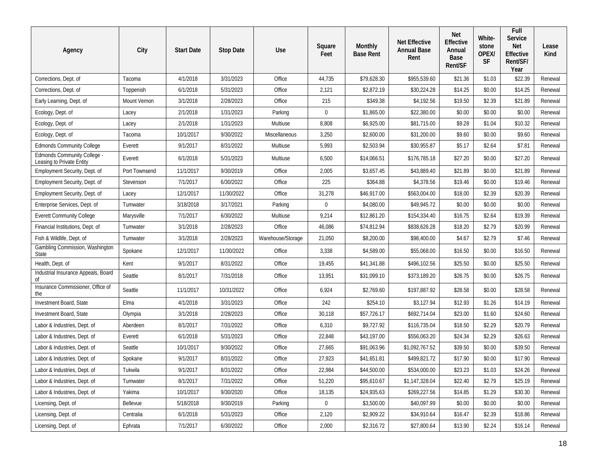| Agency                                                   | City          | <b>Start Date</b> | <b>Stop Date</b> | Use               | Square<br>Feet | Monthly<br><b>Base Rent</b> | <b>Net Effective</b><br><b>Annual Base</b><br>Rent | <b>Net</b><br>Effective<br>Annual<br>Base<br>Rent/SF | White-<br>stone<br>OPEX/<br>SF | Full<br>Service<br><b>Net</b><br>Effective<br>Rent/SF/<br>Year | Lease<br>Kind |
|----------------------------------------------------------|---------------|-------------------|------------------|-------------------|----------------|-----------------------------|----------------------------------------------------|------------------------------------------------------|--------------------------------|----------------------------------------------------------------|---------------|
| Corrections, Dept. of                                    | Tacoma        | 4/1/2018          | 3/31/2023        | Office            | 44,735         | \$79,628.30                 | \$955,539.60                                       | \$21.36                                              | \$1.03                         | \$22.39                                                        | Renewal       |
| Corrections, Dept. of                                    | Toppenish     | 6/1/2018          | 5/31/2023        | Office            | 2,121          | \$2,872.19                  | \$30,224.28                                        | \$14.25                                              | \$0.00                         | \$14.25                                                        | Renewal       |
| Early Learning, Dept. of                                 | Mount Vernon  | 3/1/2018          | 2/28/2023        | Office            | 215            | \$349.38                    | \$4,192.56                                         | \$19.50                                              | \$2.39                         | \$21.89                                                        | Renewal       |
| Ecology, Dept. of                                        | Lacey         | 2/1/2018          | 1/31/2023        | Parking           | $\mathbf 0$    | \$1,865.00                  | \$22,380.00                                        | \$0.00                                               | \$0.00                         | \$0.00                                                         | Renewal       |
| Ecology, Dept. of                                        | Lacey         | 2/1/2018          | 1/31/2023        | Multiuse          | 8,808          | \$6,925.00                  | \$81,715.00                                        | \$9.28                                               | \$1.04                         | \$10.32                                                        | Renewal       |
| Ecology, Dept. of                                        | Tacoma        | 10/1/2017         | 9/30/2022        | Miscellaneous     | 3,250          | \$2,600.00                  | \$31,200.00                                        | \$9.60                                               | \$0.00                         | \$9.60                                                         | Renewal       |
| <b>Edmonds Community College</b>                         | Everett       | 9/1/2017          | 8/31/2022        | Multiuse          | 5,993          | \$2,503.94                  | \$30,955.87                                        | \$5.17                                               | \$2.64                         | \$7.81                                                         | Renewal       |
| Edmonds Community College -<br>Leasing to Private Entity | Everett       | 6/1/2018          | 5/31/2023        | Multiuse          | 6,500          | \$14,066.51                 | \$176,785.18                                       | \$27.20                                              | \$0.00                         | \$27.20                                                        | Renewal       |
| Employment Security, Dept. of                            | Port Townsend | 11/1/2017         | 9/30/2019        | Office            | 2,005          | \$3,657.45                  | \$43,889.40                                        | \$21.89                                              | \$0.00                         | \$21.89                                                        | Renewal       |
| Employment Security, Dept. of                            | Stevenson     | 7/1/2017          | 6/30/2022        | Office            | 225            | \$364.88                    | \$4,378.56                                         | \$19.46                                              | \$0.00                         | \$19.46                                                        | Renewal       |
| Employment Security, Dept. of                            | Lacey         | 12/1/2017         | 11/30/2022       | Office            | 31,278         | \$46,917.00                 | \$563,004.00                                       | \$18.00                                              | \$2.39                         | \$20.39                                                        | Renewal       |
| Enterprise Services, Dept. of                            | Tumwater      | 3/18/2018         | 3/17/2021        | Parking           | $\mathbf 0$    | \$4,080.00                  | \$49,945.72                                        | \$0.00                                               | \$0.00                         | \$0.00                                                         | Renewal       |
| <b>Everett Community College</b>                         | Marysville    | 7/1/2017          | 6/30/2022        | Multiuse          | 9,214          | \$12,861.20                 | \$154,334.40                                       | \$16.75                                              | \$2.64                         | \$19.39                                                        | Renewal       |
| Financial Institutions, Dept. of                         | Tumwater      | 3/1/2018          | 2/28/2023        | Office            | 46,086         | \$74,812.94                 | \$838,626.28                                       | \$18.20                                              | \$2.79                         | \$20.99                                                        | Renewal       |
| Fish & Wildlife, Dept. of                                | Tumwater      | 3/1/2018          | 2/28/2023        | Warehouse/Storage | 21,050         | \$8,200.00                  | \$98,400.00                                        | \$4.67                                               | \$2.79                         | \$7.46                                                         | Renewal       |
| Gambling Commission, Washington<br>State                 | Spokane       | 12/1/2017         | 11/30/2022       | Office            | 3,338          | \$4,589.00                  | \$55,068.00                                        | \$16.50                                              | \$0.00                         | \$16.50                                                        | Renewal       |
| Health, Dept. of                                         | Kent          | 9/1/2017          | 8/31/2022        | Office            | 19,455         | \$41,341.88                 | \$496,102.56                                       | \$25.50                                              | \$0.00                         | \$25.50                                                        | Renewal       |
| Industrial Insurance Appeals, Board<br>Οf                | Seattle       | 8/1/2017          | 7/31/2018        | Office            | 13,951         | \$31,099.10                 | \$373,189.20                                       | \$26.75                                              | \$0.00                         | \$26.75                                                        | Renewal       |
| Insurance Commissioner, Office of<br>the                 | Seattle       | 11/1/2017         | 10/31/2022       | Office            | 6,924          | \$2,769.60                  | \$197,887.92                                       | \$28.58                                              | \$0.00                         | \$28.58                                                        | Renewal       |
| Investment Board, State                                  | Elma          | 4/1/2018          | 3/31/2023        | Office            | 242            | \$254.10                    | \$3,127.94                                         | \$12.93                                              | \$1.26                         | \$14.19                                                        | Renewal       |
| Investment Board, State                                  | Olympia       | 3/1/2018          | 2/28/2023        | Office            | 30,118         | \$57,726.17                 | \$692,714.04                                       | \$23.00                                              | \$1.60                         | \$24.60                                                        | Renewal       |
| Labor & Industries, Dept. of                             | Aberdeen      | 8/1/2017          | 7/31/2022        | Office            | 6,310          | \$9,727.92                  | \$116,735.04                                       | \$18.50                                              | \$2.29                         | \$20.79                                                        | Renewal       |
| Labor & Industries, Dept. of                             | Everett       | 6/1/2018          | 5/31/2023        | Office            | 22,848         | \$43,197.00                 | \$556,063.20                                       | \$24.34                                              | \$2.29                         | \$26.63                                                        | Renewal       |
| Labor & Industries, Dept. of                             | Seattle       | 10/1/2017         | 9/30/2022        | Office            | 27,665         | \$91,063.96                 | \$1,092,767.52                                     | \$39.50                                              | \$0.00                         | \$39.50                                                        | Renewal       |
| Labor & Industries, Dept. of                             | Spokane       | 9/1/2017          | 8/31/2022        | Office            | 27,923         | \$41,651.81                 | \$499,821.72                                       | \$17.90                                              | \$0.00                         | \$17.90                                                        | Renewal       |
| Labor & Industries, Dept. of                             | Tukwila       | 9/1/2017          | 8/31/2022        | Office            | 22,984         | \$44,500.00                 | \$534,000.00                                       | \$23.23                                              | \$1.03                         | \$24.26                                                        | Renewal       |
| Labor & Industries, Dept. of                             | Tumwater      | 8/1/2017          | 7/31/2022        | Office            | 51,220         | \$95,610.67                 | \$1,147,328.04                                     | \$22.40                                              | \$2.79                         | \$25.19                                                        | Renewal       |
| Labor & Industries, Dept. of                             | Yakima        | 10/1/2017         | 9/30/2020        | Office            | 18,135         | \$24,935.63                 | \$269,227.56                                       | \$14.85                                              | \$1.29                         | \$30.30                                                        | Renewal       |
| Licensing, Dept. of                                      | Bellevue      | 5/18/2018         | 9/30/2019        | Parking           | $\mathbf 0$    | \$3,500.00                  | \$40,097.99                                        | \$0.00                                               | \$0.00                         | \$0.00                                                         | Renewal       |
| Licensing, Dept. of                                      | Centralia     | 6/1/2018          | 5/31/2023        | Office            | 2,120          | \$2,909.22                  | \$34,910.64                                        | \$16.47                                              | \$2.39                         | \$18.86                                                        | Renewal       |
| Licensing, Dept. of                                      | Ephrata       | 7/1/2017          | 6/30/2022        | Office            | 2,000          | \$2,316.72                  | \$27,800.64                                        | \$13.90                                              | \$2.24                         | \$16.14                                                        | Renewal       |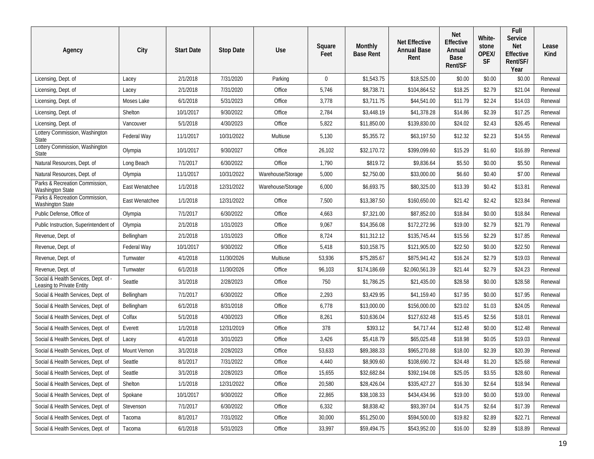| Agency                                                            | City           | <b>Start Date</b> | <b>Stop Date</b> | Use               | Square<br>Feet | Monthly<br><b>Base Rent</b> | <b>Net Effective</b><br><b>Annual Base</b><br>Rent | Net<br><b>Effective</b><br>Annual<br>Base<br>Rent/SF | White-<br>stone<br>OPEX/<br><b>SF</b> | Full<br><b>Service</b><br><b>Net</b><br>Effective<br>Rent/SF/<br>Year | Lease<br>Kind |
|-------------------------------------------------------------------|----------------|-------------------|------------------|-------------------|----------------|-----------------------------|----------------------------------------------------|------------------------------------------------------|---------------------------------------|-----------------------------------------------------------------------|---------------|
| Licensing, Dept. of                                               | Lacey          | 2/1/2018          | 7/31/2020        | Parking           | $\mathbf{0}$   | \$1,543.75                  | \$18,525.00                                        | \$0.00                                               | \$0.00                                | \$0.00                                                                | Renewal       |
| Licensing, Dept. of                                               | Lacey          | 2/1/2018          | 7/31/2020        | Office            | 5,746          | \$8,738.71                  | \$104,864.52                                       | \$18.25                                              | \$2.79                                | \$21.04                                                               | Renewal       |
| Licensing, Dept. of                                               | Moses Lake     | 6/1/2018          | 5/31/2023        | Office            | 3,778          | \$3,711.75                  | \$44,541.00                                        | \$11.79                                              | \$2.24                                | \$14.03                                                               | Renewal       |
| Licensing, Dept. of                                               | Shelton        | 10/1/2017         | 9/30/2022        | Office            | 2,784          | \$3,448.19                  | \$41,378.28                                        | \$14.86                                              | \$2.39                                | \$17.25                                                               | Renewal       |
| Licensing, Dept. of                                               | Vancouver      | 5/1/2018          | 4/30/2023        | Office            | 5,822          | \$11,850.00                 | \$139,830.00                                       | \$24.02                                              | \$2.43                                | \$26.45                                                               | Renewal       |
| Lottery Commission, Washington<br>State                           | Federal Way    | 11/1/2017         | 10/31/2022       | Multiuse          | 5,130          | \$5,355.72                  | \$63,197.50                                        | \$12.32                                              | \$2.23                                | \$14.55                                                               | Renewal       |
| Lottery Commission, Washington<br>State                           | Olympia        | 10/1/2017         | 9/30/2027        | Office            | 26,102         | \$32,170.72                 | \$399,099.60                                       | \$15.29                                              | \$1.60                                | \$16.89                                                               | Renewal       |
| Natural Resources, Dept. of                                       | Long Beach     | 7/1/2017          | 6/30/2022        | Office            | 1,790          | \$819.72                    | \$9,836.64                                         | \$5.50                                               | \$0.00                                | \$5.50                                                                | Renewal       |
| Natural Resources, Dept. of                                       | Olympia        | 11/1/2017         | 10/31/2022       | Warehouse/Storage | 5,000          | \$2,750.00                  | \$33,000.00                                        | \$6.60                                               | \$0.40                                | \$7.00                                                                | Renewal       |
| Parks & Recreation Commission,<br><b>Washington State</b>         | East Wenatchee | 1/1/2018          | 12/31/2022       | Warehouse/Storage | 6,000          | \$6,693.75                  | \$80,325.00                                        | \$13.39                                              | \$0.42                                | \$13.81                                                               | Renewal       |
| Parks & Recreation Commission,<br><b>Washington State</b>         | East Wenatchee | 1/1/2018          | 12/31/2022       | Office            | 7,500          | \$13,387.50                 | \$160,650.00                                       | \$21.42                                              | \$2.42                                | \$23.84                                                               | Renewal       |
| Public Defense, Office of                                         | Olympia        | 7/1/2017          | 6/30/2022        | Office            | 4,663          | \$7,321.00                  | \$87,852.00                                        | \$18.84                                              | \$0.00                                | \$18.84                                                               | Renewal       |
| Public Instruction, Superintendent of                             | Olympia        | 2/1/2018          | 1/31/2023        | Office            | 9,067          | \$14,356.08                 | \$172,272.96                                       | \$19.00                                              | \$2.79                                | \$21.79                                                               | Renewal       |
| Revenue, Dept. of                                                 | Bellingham     | 2/1/2018          | 1/31/2023        | Office            | 8,724          | \$11,312.12                 | \$135,745.44                                       | \$15.56                                              | \$2.29                                | \$17.85                                                               | Renewal       |
| Revenue, Dept. of                                                 | Federal Way    | 10/1/2017         | 9/30/2022        | Office            | 5,418          | \$10,158.75                 | \$121,905.00                                       | \$22.50                                              | \$0.00                                | \$22.50                                                               | Renewal       |
| Revenue, Dept. of                                                 | Tumwater       | 4/1/2018          | 11/30/2026       | Multiuse          | 53,936         | \$75,285.67                 | \$875,941.42                                       | \$16.24                                              | \$2.79                                | \$19.03                                                               | Renewal       |
| Revenue, Dept. of                                                 | Tumwater       | 6/1/2018          | 11/30/2026       | Office            | 96,103         | \$174,186.69                | \$2,060,561.39                                     | \$21.44                                              | \$2.79                                | \$24.23                                                               | Renewal       |
| Social & Health Services, Dept. of -<br>Leasing to Private Entity | Seattle        | 3/1/2018          | 2/28/2023        | Office            | 750            | \$1,786.25                  | \$21,435.00                                        | \$28.58                                              | \$0.00                                | \$28.58                                                               | Renewal       |
| Social & Health Services, Dept. of                                | Bellingham     | 7/1/2017          | 6/30/2022        | Office            | 2,293          | \$3,429.95                  | \$41,159.40                                        | \$17.95                                              | \$0.00                                | \$17.95                                                               | Renewal       |
| Social & Health Services, Dept. of                                | Bellingham     | 6/1/2018          | 8/31/2018        | Office            | 6,778          | \$13,000.00                 | \$156,000.00                                       | \$23.02                                              | \$1.03                                | \$24.05                                                               | Renewal       |
| Social & Health Services, Dept. of                                | Colfax         | 5/1/2018          | 4/30/2023        | Office            | 8,261          | \$10,636.04                 | \$127,632.48                                       | \$15.45                                              | \$2.56                                | \$18.01                                                               | Renewal       |
| Social & Health Services, Dept. of                                | Everett        | 1/1/2018          | 12/31/2019       | Office            | 378            | \$393.12                    | \$4,717.44                                         | \$12.48                                              | \$0.00                                | \$12.48                                                               | Renewal       |
| Social & Health Services, Dept. of                                | Lacey          | 4/1/2018          | 3/31/2023        | Office            | 3,426          | \$5,418.79                  | \$65,025.48                                        | \$18.98                                              | \$0.05                                | \$19.03                                                               | Renewal       |
| Social & Health Services, Dept. of                                | Mount Vernon   | 3/1/2018          | 2/28/2023        | Office            | 53,633         | \$89,388.33                 | \$965,270.88                                       | \$18.00                                              | \$2.39                                | \$20.39                                                               | Renewal       |
| Social & Health Services, Dept. of                                | Seattle        | 8/1/2017          | 7/31/2022        | Office            | 4,440          | \$8,909.60                  | \$108,690.72                                       | \$24.48                                              | \$1.20                                | \$25.68                                                               | Renewal       |
| Social & Health Services, Dept. of                                | Seattle        | 3/1/2018          | 2/28/2023        | Office            | 15,655         | \$32,682.84                 | \$392,194.08                                       | \$25.05                                              | \$3.55                                | \$28.60                                                               | Renewal       |
| Social & Health Services, Dept. of                                | Shelton        | 1/1/2018          | 12/31/2022       | Office            | 20,580         | \$28,426.04                 | \$335,427.27                                       | \$16.30                                              | \$2.64                                | \$18.94                                                               | Renewal       |
| Social & Health Services, Dept. of                                | Spokane        | 10/1/2017         | 9/30/2022        | Office            | 22,865         | \$38,108.33                 | \$434,434.96                                       | \$19.00                                              | \$0.00                                | \$19.00                                                               | Renewal       |
| Social & Health Services, Dept. of                                | Stevenson      | 7/1/2017          | 6/30/2022        | Office            | 6,332          | \$8,838.42                  | \$93,397.04                                        | \$14.75                                              | \$2.64                                | \$17.39                                                               | Renewal       |
| Social & Health Services, Dept. of                                | Tacoma         | 8/1/2017          | 7/31/2022        | Office            | 30,000         | \$51,250.00                 | \$594,500.00                                       | \$19.82                                              | \$2.89                                | \$22.71                                                               | Renewal       |
| Social & Health Services, Dept. of                                | Tacoma         | 6/1/2018          | 5/31/2023        | Office            | 33,997         | \$59,494.75                 | \$543,952.00                                       | \$16.00                                              | \$2.89                                | \$18.89                                                               | Renewal       |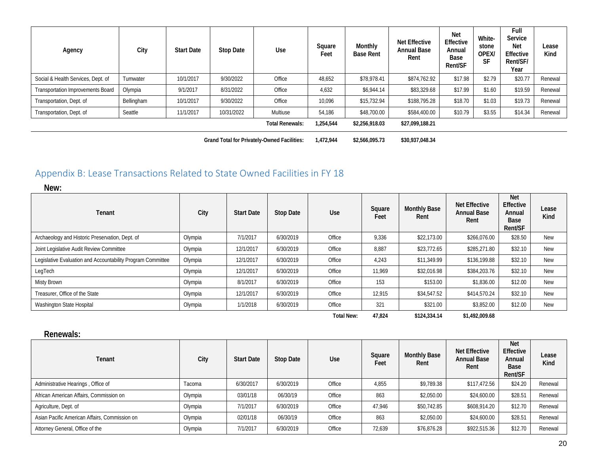| Agency                                   | City       | <b>Start Date</b> | <b>Stop Date</b> | Use                    | Square<br>Feet | Monthly<br><b>Base Rent</b> | <b>Net Effective</b><br><b>Annual Base</b><br>Rent | <b>Net</b><br>Effective<br>Annual<br>Base<br>Rent/SF | White-<br>stone<br>OPEX/<br>SF | Full<br>Service<br><b>Net</b><br>Effective<br>Rent/SF/<br>Year | Lease<br>Kind |
|------------------------------------------|------------|-------------------|------------------|------------------------|----------------|-----------------------------|----------------------------------------------------|------------------------------------------------------|--------------------------------|----------------------------------------------------------------|---------------|
| Social & Health Services, Dept. of       | Tumwater   | 10/1/2017         | 9/30/2022        | Office                 | 48,652         | \$78,978.41                 | \$874,762.92                                       | \$17.98                                              | \$2.79                         | \$20.77                                                        | Renewal       |
| <b>Transportation Improvements Board</b> | Olympia    | 9/1/2017          | 8/31/2022        | Office                 | 4,632          | \$6,944.14                  | \$83,329.68                                        | \$17.99                                              | \$1.60                         | \$19.59                                                        | Renewal       |
| Transportation, Dept. of                 | Bellingham | 10/1/2017         | 9/30/2022        | Office                 | 10,096         | \$15,732.94                 | \$188,795.28                                       | \$18.70                                              | \$1.03                         | \$19.73                                                        | Renewal       |
| Transportation, Dept. of                 | Seattle    | 11/1/2017         | 10/31/2022       | Multiuse               | 54,186         | \$48,700.00                 | \$584,400.00                                       | \$10.79                                              | \$3.55                         | \$14.34                                                        | Renewal       |
|                                          |            |                   |                  | <b>Total Renewals:</b> | 1.254.544      | \$2,256,918.03              | \$27,099,188.21                                    |                                                      |                                |                                                                |               |

**Grand Total for Privately-Owned Facilities: 1,472,944 \$2,566,095.73 \$30,937,048.34**

## Appendix B: Lease Transactions Related to State Owned Facilities in FY 18

| New:                                                        |         |                   |                  |                   |                |                             |                                                    |                                                      |               |
|-------------------------------------------------------------|---------|-------------------|------------------|-------------------|----------------|-----------------------------|----------------------------------------------------|------------------------------------------------------|---------------|
| Tenant                                                      | City    | <b>Start Date</b> | <b>Stop Date</b> | <b>Use</b>        | Square<br>Feet | <b>Monthly Base</b><br>Rent | <b>Net Effective</b><br><b>Annual Base</b><br>Rent | <b>Net</b><br>Effective<br>Annual<br>Base<br>Rent/SF | Lease<br>Kind |
| Archaeology and Historic Preservation, Dept. of             | Olympia | 7/1/2017          | 6/30/2019        | Office            | 9,336          | \$22,173.00                 | \$266,076.00                                       | \$28.50                                              | <b>New</b>    |
| Joint Legislative Audit Review Committee                    | Olympia | 12/1/2017         | 6/30/2019        | Office            | 8,887          | \$23,772.65                 | \$285,271.80                                       | \$32.10                                              | <b>New</b>    |
| Legislative Evaluation and Accountability Program Committee | Olympia | 12/1/2017         | 6/30/2019        | Office            | 4,243          | \$11,349.99                 | \$136,199.88                                       | \$32.10                                              | <b>New</b>    |
| LegTech                                                     | Olympia | 12/1/2017         | 6/30/2019        | Office            | 11,969         | \$32,016.98                 | \$384,203.76                                       | \$32.10                                              | <b>New</b>    |
| <b>Misty Brown</b>                                          | Olympia | 8/1/2017          | 6/30/2019        | Office            | 153            | \$153.00                    | \$1,836.00                                         | \$12.00                                              | <b>New</b>    |
| Treasurer, Office of the State                              | Olympia | 12/1/2017         | 6/30/2019        | Office            | 12,915         | \$34,547.52                 | \$414,570.24                                       | \$32.10                                              | <b>New</b>    |
| Washington State Hospital                                   | Olympia | 1/1/2018          | 6/30/2019        | Office            | 321            | \$321.00                    | \$3,852.00                                         | \$12.00                                              | <b>New</b>    |
|                                                             |         |                   |                  | <b>Total New:</b> | 47.824         | \$124,334.14                | \$1,492,009.68                                     |                                                      |               |

<span id="page-19-0"></span>**Renewals:**

| Tenant                                        | City    | <b>Start Date</b> | Stop Date | <b>Use</b> | Square<br>Feet | <b>Monthly Base</b><br>Rent | <b>Net Effective</b><br><b>Annual Base</b><br>Rent | <b>Net</b><br>Effective<br>Annual<br>Base<br>Rent/SF | Lease<br>Kind |
|-----------------------------------------------|---------|-------------------|-----------|------------|----------------|-----------------------------|----------------------------------------------------|------------------------------------------------------|---------------|
| Administrative Hearings, Office of            | Tacoma  | 6/30/2017         | 6/30/2019 | Office     | 4,855          | \$9.789.38                  | \$117,472.56                                       | \$24.20                                              | Renewal       |
| African American Affairs, Commission on       | Olympia | 03/01/18          | 06/30/19  | Office     | 863            | \$2,050.00                  | \$24,600.00                                        | \$28.51                                              | Renewal       |
| Agriculture, Dept. of                         | Olympia | 7/1/2017          | 6/30/2019 | Office     | 47.946         | \$50,742.85                 | \$608,914.20                                       | \$12.70                                              | Renewal       |
| Asian Pacific American Affairs, Commission on | Olympia | 02/01/18          | 06/30/19  | Office     | 863            | \$2,050.00                  | \$24,600.00                                        | \$28.51                                              | Renewal       |
| Attorney General, Office of the               | Olympia | 7/1/2017          | 6/30/2019 | Office     | 72,639         | \$76,876.28                 | \$922,515.36                                       | \$12.70                                              | Renewal       |

20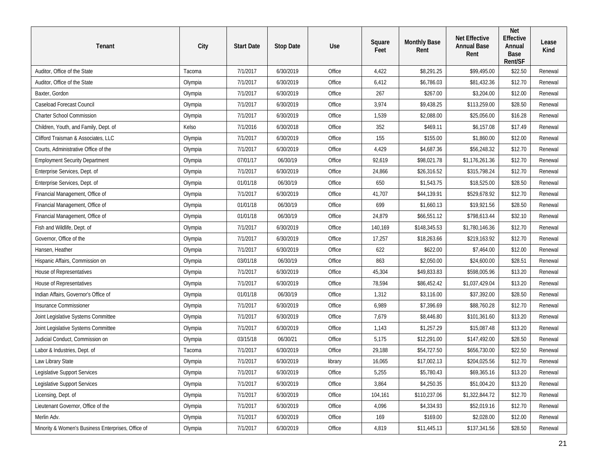| Tenant                                             | City    | <b>Start Date</b> | <b>Stop Date</b> | Use     | Square<br>Feet | <b>Monthly Base</b><br>Rent | <b>Net Effective</b><br><b>Annual Base</b><br>Rent | <b>Net</b><br>Effective<br>Annual<br>Base<br>Rent/SF | Lease<br>Kind |
|----------------------------------------------------|---------|-------------------|------------------|---------|----------------|-----------------------------|----------------------------------------------------|------------------------------------------------------|---------------|
| Auditor, Office of the State                       | Tacoma  | 7/1/2017          | 6/30/2019        | Office  | 4,422          | \$8,291.25                  | \$99,495.00                                        | \$22.50                                              | Renewal       |
| Auditor, Office of the State                       | Olympia | 7/1/2017          | 6/30/2019        | Office  | 6,412          | \$6,786.03                  | \$81,432.36                                        | \$12.70                                              | Renewal       |
| Baxter, Gordon                                     | Olympia | 7/1/2017          | 6/30/2019        | Office  | 267            | \$267.00                    | \$3,204.00                                         | \$12.00                                              | Renewal       |
| Caseload Forecast Council                          | Olympia | 7/1/2017          | 6/30/2019        | Office  | 3,974          | \$9,438.25                  | \$113,259.00                                       | \$28.50                                              | Renewal       |
| <b>Charter School Commission</b>                   | Olympia | 7/1/2017          | 6/30/2019        | Office  | 1,539          | \$2,088.00                  | \$25,056.00                                        | \$16.28                                              | Renewal       |
| Children, Youth, and Family, Dept. of              | Kelso   | 7/1/2016          | 6/30/2018        | Office  | 352            | \$469.11                    | \$6,157.08                                         | \$17.49                                              | Renewal       |
| Clifford Traisman & Associates, LLC                | Olympia | 7/1/2017          | 6/30/2019        | Office  | 155            | \$155.00                    | \$1,860.00                                         | \$12.00                                              | Renewal       |
| Courts, Administrative Office of the               | Olympia | 7/1/2017          | 6/30/2019        | Office  | 4,429          | \$4,687.36                  | \$56,248.32                                        | \$12.70                                              | Renewal       |
| <b>Employment Security Department</b>              | Olympia | 07/01/17          | 06/30/19         | Office  | 92,619         | \$98,021.78                 | \$1,176,261.36                                     | \$12.70                                              | Renewal       |
| Enterprise Services, Dept. of                      | Olympia | 7/1/2017          | 6/30/2019        | Office  | 24,866         | \$26,316.52                 | \$315,798.24                                       | \$12.70                                              | Renewal       |
| Enterprise Services, Dept. of                      | Olympia | 01/01/18          | 06/30/19         | Office  | 650            | \$1,543.75                  | \$18,525.00                                        | \$28.50                                              | Renewal       |
| Financial Management, Office of                    | Olympia | 7/1/2017          | 6/30/2019        | Office  | 41,707         | \$44,139.91                 | \$529,678.92                                       | \$12.70                                              | Renewal       |
| Financial Management, Office of                    | Olympia | 01/01/18          | 06/30/19         | Office  | 699            | \$1,660.13                  | \$19,921.56                                        | \$28.50                                              | Renewal       |
| Financial Management, Office of                    | Olympia | 01/01/18          | 06/30/19         | Office  | 24,879         | \$66,551.12                 | \$798,613.44                                       | \$32.10                                              | Renewal       |
| Fish and Wildlife, Dept. of                        | Olympia | 7/1/2017          | 6/30/2019        | Office  | 140,169        | \$148,345.53                | \$1,780,146.36                                     | \$12.70                                              | Renewal       |
| Governor, Office of the                            | Olympia | 7/1/2017          | 6/30/2019        | Office  | 17,257         | \$18,263.66                 | \$219,163.92                                       | \$12.70                                              | Renewal       |
| Hansen, Heather                                    | Olympia | 7/1/2017          | 6/30/2019        | Office  | 622            | \$622.00                    | \$7,464.00                                         | \$12.00                                              | Renewal       |
| Hispanic Affairs, Commission on                    | Olympia | 03/01/18          | 06/30/19         | Office  | 863            | \$2,050.00                  | \$24,600.00                                        | \$28.51                                              | Renewal       |
| House of Representatives                           | Olympia | 7/1/2017          | 6/30/2019        | Office  | 45,304         | \$49,833.83                 | \$598,005.96                                       | \$13.20                                              | Renewal       |
| House of Representatives                           | Olympia | 7/1/2017          | 6/30/2019        | Office  | 78,594         | \$86,452.42                 | \$1,037,429.04                                     | \$13.20                                              | Renewal       |
| Indian Affairs, Governor's Office of               | Olympia | 01/01/18          | 06/30/19         | Office  | 1,312          | \$3,116.00                  | \$37,392.00                                        | \$28.50                                              | Renewal       |
| Insurance Commissioner                             | Olympia | 7/1/2017          | 6/30/2019        | Office  | 6,989          | \$7,396.69                  | \$88,760.28                                        | \$12.70                                              | Renewal       |
| Joint Legislative Systems Committee                | Olympia | 7/1/2017          | 6/30/2019        | Office  | 7,679          | \$8,446.80                  | \$101,361.60                                       | \$13.20                                              | Renewal       |
| Joint Legislative Systems Committee                | Olympia | 7/1/2017          | 6/30/2019        | Office  | 1,143          | \$1,257.29                  | \$15,087.48                                        | \$13.20                                              | Renewal       |
| Judicial Conduct, Commission on                    | Olympia | 03/15/18          | 06/30/21         | Office  | 5,175          | \$12,291.00                 | \$147,492.00                                       | \$28.50                                              | Renewal       |
| Labor & Industries, Dept. of                       | Tacoma  | 7/1/2017          | 6/30/2019        | Office  | 29,188         | \$54,727.50                 | \$656,730.00                                       | \$22.50                                              | Renewal       |
| Law Library State                                  | Olympia | 7/1/2017          | 6/30/2019        | library | 16,065         | \$17,002.13                 | \$204,025.56                                       | \$12.70                                              | Renewal       |
| Legislative Support Services                       | Olympia | 7/1/2017          | 6/30/2019        | Office  | 5,255          | \$5,780.43                  | \$69,365.16                                        | \$13.20                                              | Renewal       |
| Legislative Support Services                       | Olympia | 7/1/2017          | 6/30/2019        | Office  | 3,864          | \$4,250.35                  | \$51,004.20                                        | \$13.20                                              | Renewal       |
| Licensing, Dept. of                                | Olympia | 7/1/2017          | 6/30/2019        | Office  | 104,161        | \$110,237.06                | \$1,322,844.72                                     | \$12.70                                              | Renewal       |
| Lieutenant Governor, Office of the                 | Olympia | 7/1/2017          | 6/30/2019        | Office  | 4,096          | \$4,334.93                  | \$52,019.16                                        | \$12.70                                              | Renewal       |
| Merlin Adv.                                        | Olympia | 7/1/2017          | 6/30/2019        | Office  | 169            | \$169.00                    | \$2,028.00                                         | \$12.00                                              | Renewal       |
| Minority & Women's Business Enterprises, Office of | Olympia | 7/1/2017          | 6/30/2019        | Office  | 4,819          | \$11,445.13                 | \$137,341.56                                       | \$28.50                                              | Renewal       |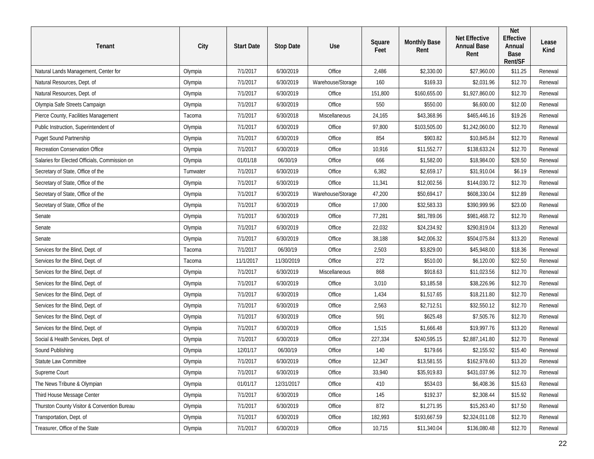| Tenant                                        | City     | <b>Start Date</b> | <b>Stop Date</b> | Use               | Square<br>Feet | <b>Monthly Base</b><br>Rent | <b>Net Effective</b><br><b>Annual Base</b><br>Rent | Net<br>Effective<br>Annual<br>Base<br>Rent/SF | Lease<br>Kind |
|-----------------------------------------------|----------|-------------------|------------------|-------------------|----------------|-----------------------------|----------------------------------------------------|-----------------------------------------------|---------------|
| Natural Lands Management, Center for          | Olympia  | 7/1/2017          | 6/30/2019        | Office            | 2,486          | \$2,330.00                  | \$27,960.00                                        | \$11.25                                       | Renewal       |
| Natural Resources, Dept. of                   | Olympia  | 7/1/2017          | 6/30/2019        | Warehouse/Storage | 160            | \$169.33                    | \$2,031.96                                         | \$12.70                                       | Renewal       |
| Natural Resources, Dept. of                   | Olympia  | 7/1/2017          | 6/30/2019        | Office            | 151,800        | \$160,655.00                | \$1,927,860.00                                     | \$12.70                                       | Renewal       |
| Olympia Safe Streets Campaign                 | Olympia  | 7/1/2017          | 6/30/2019        | Office            | 550            | \$550.00                    | \$6,600.00                                         | \$12.00                                       | Renewal       |
| Pierce County, Facilities Management          | Tacoma   | 7/1/2017          | 6/30/2018        | Miscellaneous     | 24,165         | \$43,368.96                 | \$465,446.16                                       | \$19.26                                       | Renewal       |
| Public Instruction, Superintendent of         | Olympia  | 7/1/2017          | 6/30/2019        | Office            | 97,800         | \$103,505.00                | \$1,242,060.00                                     | \$12.70                                       | Renewal       |
| Puget Sound Partnership                       | Olympia  | 7/1/2017          | 6/30/2019        | Office            | 854            | \$903.82                    | \$10,845.84                                        | \$12.70                                       | Renewal       |
| Recreation Conservation Office                | Olympia  | 7/1/2017          | 6/30/2019        | Office            | 10,916         | \$11,552.77                 | \$138,633.24                                       | \$12.70                                       | Renewal       |
| Salaries for Elected Officials, Commission on | Olympia  | 01/01/18          | 06/30/19         | Office            | 666            | \$1,582.00                  | \$18,984.00                                        | \$28.50                                       | Renewal       |
| Secretary of State, Office of the             | Tumwater | 7/1/2017          | 6/30/2019        | Office            | 6,382          | \$2,659.17                  | \$31,910.04                                        | \$6.19                                        | Renewal       |
| Secretary of State, Office of the             | Olympia  | 7/1/2017          | 6/30/2019        | Office            | 11,341         | \$12,002.56                 | \$144,030.72                                       | \$12.70                                       | Renewal       |
| Secretary of State, Office of the             | Olympia  | 7/1/2017          | 6/30/2019        | Warehouse/Storage | 47,200         | \$50,694.17                 | \$608,330.04                                       | \$12.89                                       | Renewal       |
| Secretary of State, Office of the             | Olympia  | 7/1/2017          | 6/30/2019        | Office            | 17,000         | \$32,583.33                 | \$390,999.96                                       | \$23.00                                       | Renewal       |
| Senate                                        | Olympia  | 7/1/2017          | 6/30/2019        | Office            | 77,281         | \$81,789.06                 | \$981,468.72                                       | \$12.70                                       | Renewal       |
| Senate                                        | Olympia  | 7/1/2017          | 6/30/2019        | Office            | 22,032         | \$24,234.92                 | \$290,819.04                                       | \$13.20                                       | Renewal       |
| Senate                                        | Olympia  | 7/1/2017          | 6/30/2019        | Office            | 38,188         | \$42,006.32                 | \$504,075.84                                       | \$13.20                                       | Renewal       |
| Services for the Blind, Dept. of              | Tacoma   | 7/1/2017          | 06/30/19         | Office            | 2,503          | \$3,829.00                  | \$45,948.00                                        | \$18.36                                       | Renewal       |
| Services for the Blind, Dept. of              | Tacoma   | 11/1/2017         | 11/30/2019       | Office            | 272            | \$510.00                    | \$6,120.00                                         | \$22.50                                       | Renewal       |
| Services for the Blind, Dept. of              | Olympia  | 7/1/2017          | 6/30/2019        | Miscellaneous     | 868            | \$918.63                    | \$11,023.56                                        | \$12.70                                       | Renewal       |
| Services for the Blind, Dept. of              | Olympia  | 7/1/2017          | 6/30/2019        | Office            | 3,010          | \$3,185.58                  | \$38,226.96                                        | \$12.70                                       | Renewal       |
| Services for the Blind, Dept. of              | Olympia  | 7/1/2017          | 6/30/2019        | Office            | 1,434          | \$1,517.65                  | \$18,211.80                                        | \$12.70                                       | Renewal       |
| Services for the Blind, Dept. of              | Olympia  | 7/1/2017          | 6/30/2019        | Office            | 2,563          | \$2,712.51                  | \$32,550.12                                        | \$12.70                                       | Renewal       |
| Services for the Blind, Dept. of              | Olympia  | 7/1/2017          | 6/30/2019        | Office            | 591            | \$625.48                    | \$7,505.76                                         | \$12.70                                       | Renewal       |
| Services for the Blind, Dept. of              | Olympia  | 7/1/2017          | 6/30/2019        | Office            | 1,515          | \$1,666.48                  | \$19,997.76                                        | \$13.20                                       | Renewal       |
| Social & Health Services, Dept. of            | Olympia  | 7/1/2017          | 6/30/2019        | Office            | 227,334        | \$240,595.15                | \$2,887,141.80                                     | \$12.70                                       | Renewal       |
| Sound Publishing                              | Olympia  | 12/01/17          | 06/30/19         | Office            | 140            | \$179.66                    | \$2,155.92                                         | \$15.40                                       | Renewal       |
| Statute Law Committee                         | Olympia  | 7/1/2017          | 6/30/2019        | Office            | 12,347         | \$13,581.55                 | \$162,978.60                                       | \$13.20                                       | Renewal       |
| Supreme Court                                 | Olympia  | 7/1/2017          | 6/30/2019        | Office            | 33,940         | \$35,919.83                 | \$431,037.96                                       | \$12.70                                       | Renewal       |
| The News Tribune & Olympian                   | Olympia  | 01/01/17          | 12/31/2017       | Office            | 410            | \$534.03                    | \$6,408.36                                         | \$15.63                                       | Renewal       |
| Third House Message Center                    | Olympia  | 7/1/2017          | 6/30/2019        | Office            | 145            | \$192.37                    | \$2,308.44                                         | \$15.92                                       | Renewal       |
| Thurston County Visitor & Convention Bureau   | Olympia  | 7/1/2017          | 6/30/2019        | Office            | 872            | \$1,271.95                  | \$15,263.40                                        | \$17.50                                       | Renewal       |
| Transportation, Dept. of                      | Olympia  | 7/1/2017          | 6/30/2019        | Office            | 182,993        | \$193,667.59                | \$2,324,011.08                                     | \$12.70                                       | Renewal       |
| Treasurer, Office of the State                | Olympia  | 7/1/2017          | 6/30/2019        | Office            | 10,715         | \$11,340.04                 | \$136,080.48                                       | \$12.70                                       | Renewal       |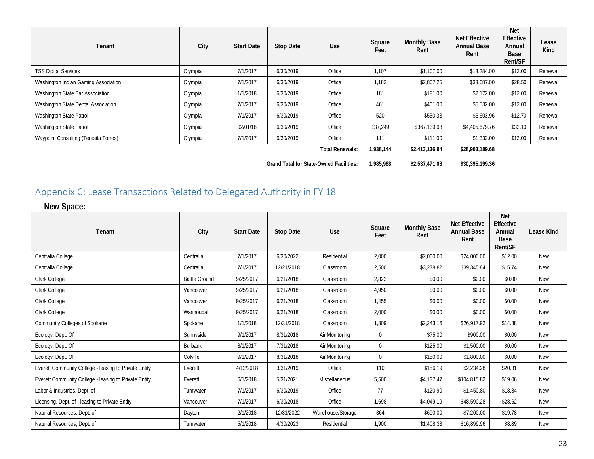| Tenant                                | City    | <b>Start Date</b> | Stop Date | Use                    | Square<br>Feet | <b>Monthly Base</b><br>Rent | <b>Net Effective</b><br><b>Annual Base</b><br>Rent | <b>Net</b><br>Effective<br>Annual<br>Base<br>Rent/SF | Lease<br>Kind |
|---------------------------------------|---------|-------------------|-----------|------------------------|----------------|-----------------------------|----------------------------------------------------|------------------------------------------------------|---------------|
| <b>TSS Digital Services</b>           | Olympia | 7/1/2017          | 6/30/2019 | Office                 | 1,107          | \$1,107.00                  | \$13,284.00                                        | \$12.00                                              | Renewal       |
| Washington Indian Gaming Association  | Olympia | 7/1/2017          | 6/30/2019 | Office                 | 1,182          | \$2,807.25                  | \$33,687.00                                        | \$28.50                                              | Renewal       |
| Washington State Bar Association      | Olympia | 1/1/2018          | 6/30/2019 | Office                 | 181            | \$181.00                    | \$2,172.00                                         | \$12.00                                              | Renewal       |
| Washington State Dental Association   | Olympia | 7/1/2017          | 6/30/2019 | Office                 | 461            | \$461.00                    | \$5,532.00                                         | \$12.00                                              | Renewal       |
| Washington State Patrol               | Olympia | 7/1/2017          | 6/30/2019 | Office                 | 520            | \$550.33                    | \$6,603.96                                         | \$12.70                                              | Renewal       |
| Washington State Patrol               | Olympia | 02/01/18          | 6/30/2019 | Office                 | 137,249        | \$367,139.98                | \$4,405,679.76                                     | \$32.10                                              | Renewal       |
| Waypoint Consulting (Teresita Torres) | Olympia | 7/1/2017          | 6/30/2019 | Office                 | 111            | \$111.00                    | \$1,332.00                                         | \$12.00                                              | Renewal       |
|                                       |         |                   |           | <b>Total Renewals:</b> | 1,938,144      | \$2,413,136.94              | \$28,903,189.68                                    |                                                      |               |

**Grand Total for State-Owned Facilities: 1,985,968 \$2,537,471.08 \$30,395,199.36**

## Appendix C: Lease Transactions Related to Delegated Authority in FY 18

**New Space:**

<span id="page-22-0"></span>

| Tenant                                                | City                 | <b>Start Date</b> | <b>Stop Date</b> | <b>Use</b>        | Square<br>Feet | <b>Monthly Base</b><br>Rent | <b>Net Effective</b><br><b>Annual Base</b><br>Rent | <b>Net</b><br><b>Effective</b><br>Annual<br>Base<br>Rent/SF | <b>Lease Kind</b> |
|-------------------------------------------------------|----------------------|-------------------|------------------|-------------------|----------------|-----------------------------|----------------------------------------------------|-------------------------------------------------------------|-------------------|
| Centralia College                                     | Centralia            | 7/1/2017          | 6/30/2022        | Residential       | 2,000          | \$2,000.00                  | \$24,000.00                                        | \$12.00                                                     | New               |
| Centralia College                                     | Centralia            | 7/1/2017          | 12/21/2018       | Classroom         | 2,500          | \$3,278.82                  | \$39,345.84                                        | \$15.74                                                     | New               |
| Clark College                                         | <b>Battle Ground</b> | 9/25/2017         | 6/21/2018        | Classroom         | 2,822          | \$0.00                      | \$0.00                                             | \$0.00                                                      | <b>New</b>        |
| Clark College                                         | Vancouver            | 9/25/2017         | 6/21/2018        | Classroom         | 4,950          | \$0.00                      | \$0.00                                             | \$0.00                                                      | <b>New</b>        |
| Clark College                                         | Vancouver            | 9/25/2017         | 6/21/2018        | Classroom         | 1.455          | \$0.00                      | \$0.00                                             | \$0.00                                                      | <b>New</b>        |
| Clark College                                         | Washougal            | 9/25/2017         | 6/21/2018        | Classroom         | 2,000          | \$0.00                      | \$0.00                                             | \$0.00                                                      | <b>New</b>        |
| Community Colleges of Spokane                         | Spokane              | 1/1/2018          | 12/31/2018       | Classroom         | 1,809          | \$2,243.16                  | \$26,917.92                                        | \$14.88                                                     | <b>New</b>        |
| Ecology, Dept. Of                                     | Sunnyside            | 9/1/2017          | 8/31/2018        | Air Monitoring    | $\mathbf{0}$   | \$75.00                     | \$900.00                                           | \$0.00                                                      | <b>New</b>        |
| Ecology, Dept. Of                                     | <b>Burbank</b>       | 8/1/2017          | 7/31/2018        | Air Monitoring    | $\Omega$       | \$125.00                    | \$1,500.00                                         | \$0.00                                                      | New               |
| Ecology, Dept. Of                                     | Colville             | 9/1/2017          | 8/31/2018        | Air Monitoring    | $\mathbf{0}$   | \$150.00                    | \$1,800.00                                         | \$0.00                                                      | <b>New</b>        |
| Everett Community College - leasing to Private Entity | Everett              | 4/12/2018         | 3/31/2019        | Office            | 110            | \$186.19                    | \$2,234.28                                         | \$20.31                                                     | <b>New</b>        |
| Everett Community College - leasing to Private Entity | Everett              | 6/1/2018          | 5/31/2021        | Miscellaneous     | 5,500          | \$4,137.47                  | \$104,815.82                                       | \$19.06                                                     | <b>New</b>        |
| Labor & Industries, Dept. of                          | Tumwater             | 7/1/2017          | 6/30/2019        | Office            | 77             | \$120.90                    | \$1,450.80                                         | \$18.84                                                     | <b>New</b>        |
| Licensing, Dept. of - leasing to Private Entity       | Vancouver            | 7/1/2017          | 6/30/2018        | Office            | 1,698          | \$4,049.19                  | \$48,590.28                                        | \$28.62                                                     | <b>New</b>        |
| Natural Resources, Dept. of                           | Dayton               | 2/1/2018          | 12/31/2022       | Warehouse/Storage | 364            | \$600.00                    | \$7,200.00                                         | \$19.78                                                     | <b>New</b>        |
| Natural Resources, Dept. of                           | Tumwater             | 5/1/2018          | 4/30/2023        | Residential       | 1,900          | \$1,408.33                  | \$16,899.96                                        | \$8.89                                                      | <b>New</b>        |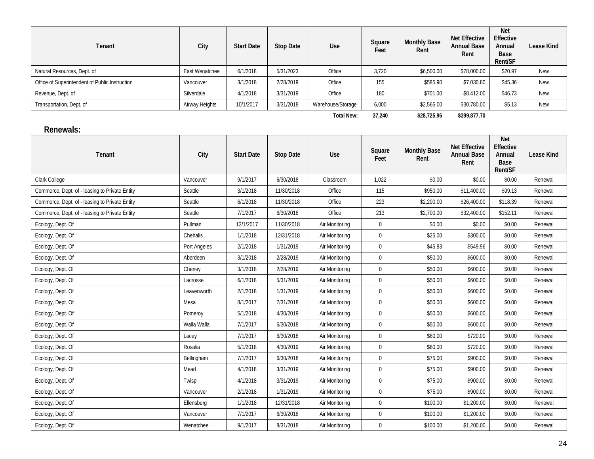| Tenant                                         | City           | <b>Start Date</b> | Stop Date | Use               | Square<br>Feet | <b>Monthly Base</b><br>Rent | <b>Net Effective</b><br><b>Annual Base</b><br>Rent | <b>Net</b><br>Effective<br>Annual<br>Base<br>Rent/SF | Lease Kind |
|------------------------------------------------|----------------|-------------------|-----------|-------------------|----------------|-----------------------------|----------------------------------------------------|------------------------------------------------------|------------|
| Natural Resources, Dept. of                    | East Wenatchee | 6/1/2018          | 5/31/2023 | Office            | 3,720          | \$6,500.00                  | \$78,000.00                                        | \$20.97                                              | <b>New</b> |
| Office of Superintendent of Public Instruction | Vancouver      | 3/1/2018          | 2/28/2019 | Office            | 155            | \$585.90                    | \$7.030.80                                         | \$45.36                                              | New        |
| Revenue, Dept. of                              | Silverdale     | 4/1/2018          | 3/31/2019 | Office            | 180            | \$701.00                    | \$8,412.00                                         | \$46.73                                              | New        |
| Transportation, Dept. of                       | Airway Heights | 10/1/2017         | 3/31/2018 | Warehouse/Storage | 6,000          | \$2,565.00                  | \$30,780.00                                        | \$5.13                                               | New        |
|                                                |                |                   |           | <b>Total New:</b> | 37.240         | \$28,725.96                 | \$399,877.70                                       |                                                      |            |

#### **Renewals:**

| Tenant                                         | City         | <b>Start Date</b> | <b>Stop Date</b> | Use            | Square<br>Feet | <b>Monthly Base</b><br>Rent | <b>Net Effective</b><br><b>Annual Base</b><br>Rent | <b>Net</b><br>Effective<br>Annual<br>Base<br>Rent/SF | <b>Lease Kind</b> |
|------------------------------------------------|--------------|-------------------|------------------|----------------|----------------|-----------------------------|----------------------------------------------------|------------------------------------------------------|-------------------|
| Clark College                                  | Vancouver    | 9/1/2017          | 6/30/2018        | Classroom      | 1,022          | \$0.00                      | \$0.00                                             | \$0.00                                               | Renewal           |
| Commerce, Dept. of - leasing to Private Entity | Seattle      | 3/1/2018          | 11/30/2018       | Office         | 115            | \$950.00                    | \$11,400.00                                        | \$99.13                                              | Renewal           |
| Commerce, Dept. of - leasing to Private Entity | Seattle      | 6/1/2018          | 11/30/2018       | Office         | 223            | \$2,200.00                  | \$26,400.00                                        | \$118.39                                             | Renewal           |
| Commerce, Dept. of - leasing to Private Entity | Seattle      | 7/1/2017          | 6/30/2018        | Office         | 213            | \$2,700.00                  | \$32,400.00                                        | \$152.11                                             | Renewal           |
| Ecology, Dept. Of                              | Pullman      | 12/1/2017         | 11/30/2018       | Air Monitoring | $\mathbf 0$    | \$0.00                      | \$0.00                                             | \$0.00                                               | Renewal           |
| Ecology, Dept. Of                              | Chehalis     | 1/1/2018          | 12/31/2018       | Air Monitoring | 0              | \$25.00                     | \$300.00                                           | \$0.00                                               | Renewal           |
| Ecology, Dept. Of                              | Port Angeles | 2/1/2018          | 1/31/2019        | Air Monitoring | $\mathbf{0}$   | \$45.83                     | \$549.96                                           | \$0.00                                               | Renewal           |
| Ecology, Dept. Of                              | Aberdeen     | 3/1/2018          | 2/28/2019        | Air Monitoring | $\mathbf{0}$   | \$50.00                     | \$600.00                                           | \$0.00                                               | Renewal           |
| Ecology, Dept. Of                              | Cheney       | 3/1/2018          | 2/28/2019        | Air Monitoring | $\mathbf 0$    | \$50.00                     | \$600.00                                           | \$0.00                                               | Renewal           |
| Ecology, Dept. Of                              | Lacrosse     | 6/1/2018          | 5/31/2019        | Air Monitoring | $\mathbf{0}$   | \$50.00                     | \$600.00                                           | \$0.00                                               | Renewal           |
| Ecology, Dept. Of                              | Leavenworth  | 2/1/2018          | 1/31/2019        | Air Monitoring | 0              | \$50.00                     | \$600.00                                           | \$0.00                                               | Renewal           |
| Ecology, Dept. Of                              | Mesa         | 8/1/2017          | 7/31/2018        | Air Monitoring | $\mathbf 0$    | \$50.00                     | \$600.00                                           | \$0.00                                               | Renewal           |
| Ecology, Dept. Of                              | Pomeroy      | 5/1/2018          | 4/30/2019        | Air Monitoring | $\mathbf 0$    | \$50.00                     | \$600.00                                           | \$0.00                                               | Renewal           |
| Ecology, Dept. Of                              | Walla Walla  | 7/1/2017          | 6/30/2018        | Air Monitoring | $\mathbf{0}$   | \$50.00                     | \$600.00                                           | \$0.00                                               | Renewal           |
| Ecology, Dept. Of                              | Lacey        | 7/1/2017          | 6/30/2018        | Air Monitoring | $\mathbf{0}$   | \$60.00                     | \$720.00                                           | \$0.00                                               | Renewal           |
| Ecology, Dept. Of                              | Rosalia      | 5/1/2018          | 4/30/2019        | Air Monitoring | $\mathbf{0}$   | \$60.00                     | \$720.00                                           | \$0.00                                               | Renewal           |
| Ecology, Dept. Of                              | Bellingham   | 7/1/2017          | 6/30/2018        | Air Monitoring | $\mathbf 0$    | \$75.00                     | \$900.00                                           | \$0.00                                               | Renewal           |
| Ecology, Dept. Of                              | Mead         | 4/1/2018          | 3/31/2019        | Air Monitoring | $\overline{0}$ | \$75.00                     | \$900.00                                           | \$0.00                                               | Renewal           |
| Ecology, Dept. Of                              | Twisp        | 4/1/2018          | 3/31/2019        | Air Monitoring | $\mathbf{0}$   | \$75.00                     | \$900.00                                           | \$0.00                                               | Renewal           |
| Ecology, Dept. Of                              | Vancouver    | 2/1/2018          | 1/31/2019        | Air Monitoring | $\mathbf{0}$   | \$75.00                     | \$900.00                                           | \$0.00                                               | Renewal           |
| Ecology, Dept. Of                              | Ellensburg   | 1/1/2018          | 12/31/2018       | Air Monitoring | $\mathbf{0}$   | \$100.00                    | \$1,200.00                                         | \$0.00                                               | Renewal           |
| Ecology, Dept. Of                              | Vancouver    | 7/1/2017          | 6/30/2018        | Air Monitoring | 0              | \$100.00                    | \$1,200.00                                         | \$0.00                                               | Renewal           |
| Ecology, Dept. Of                              | Wenatchee    | 9/1/2017          | 8/31/2018        | Air Monitoring | 0              | \$100.00                    | \$1,200.00                                         | \$0.00                                               | Renewal           |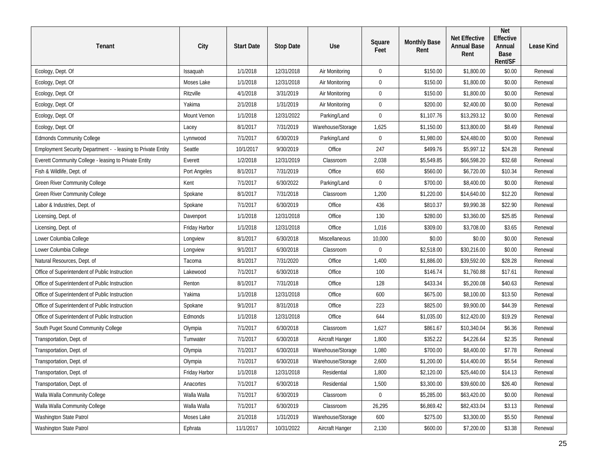| Tenant                                                       | City          | <b>Start Date</b> | <b>Stop Date</b> | Use               | Square<br>Feet   | <b>Monthly Base</b><br>Rent | <b>Net Effective</b><br><b>Annual Base</b><br>Rent | <b>Net</b><br>Effective<br>Annual<br><b>Base</b><br>Rent/SF | Lease Kind |
|--------------------------------------------------------------|---------------|-------------------|------------------|-------------------|------------------|-----------------------------|----------------------------------------------------|-------------------------------------------------------------|------------|
| Ecology, Dept. Of                                            | Issaquah      | 1/1/2018          | 12/31/2018       | Air Monitoring    | $\mathbf 0$      | \$150.00                    | \$1,800.00                                         | \$0.00                                                      | Renewal    |
| Ecology, Dept. Of                                            | Moses Lake    | 1/1/2018          | 12/31/2018       | Air Monitoring    | $\mathbf 0$      | \$150.00                    | \$1,800.00                                         | \$0.00                                                      | Renewal    |
| Ecology, Dept. Of                                            | Ritzville     | 4/1/2018          | 3/31/2019        | Air Monitoring    | $\mathbf 0$      | \$150.00                    | \$1,800.00                                         | \$0.00                                                      | Renewal    |
| Ecology, Dept. Of                                            | Yakima        | 2/1/2018          | 1/31/2019        | Air Monitoring    | $\mathbf 0$      | \$200.00                    | \$2,400.00                                         | \$0.00                                                      | Renewal    |
| Ecology, Dept. Of                                            | Mount Vernon  | 1/1/2018          | 12/31/2022       | Parking/Land      | $\mathbf 0$      | \$1,107.76                  | \$13,293.12                                        | \$0.00                                                      | Renewal    |
| Ecology, Dept. Of                                            | Lacey         | 8/1/2017          | 7/31/2019        | Warehouse/Storage | 1,625            | \$1,150.00                  | \$13,800.00                                        | \$8.49                                                      | Renewal    |
| <b>Edmonds Community College</b>                             | Lynnwood      | 7/1/2017          | 6/30/2019        | Parking/Land      | $\boldsymbol{0}$ | \$1,980.00                  | \$24,480.00                                        | \$0.00                                                      | Renewal    |
| Employment Security Department - - leasing to Private Entity | Seattle       | 10/1/2017         | 9/30/2019        | Office            | 247              | \$499.76                    | \$5,997.12                                         | \$24.28                                                     | Renewal    |
| Everett Community College - leasing to Private Entity        | Everett       | 1/2/2018          | 12/31/2019       | Classroom         | 2,038            | \$5,549.85                  | \$66,598.20                                        | \$32.68                                                     | Renewal    |
| Fish & Wildlife, Dept. of                                    | Port Angeles  | 8/1/2017          | 7/31/2019        | Office            | 650              | \$560.00                    | \$6,720.00                                         | \$10.34                                                     | Renewal    |
| Green River Community College                                | Kent          | 7/1/2017          | 6/30/2022        | Parking/Land      | $\mathbf 0$      | \$700.00                    | \$8,400.00                                         | \$0.00                                                      | Renewal    |
| Green River Community College                                | Spokane       | 8/1/2017          | 7/31/2018        | Classroom         | 1,200            | \$1,220.00                  | \$14,640.00                                        | \$12.20                                                     | Renewal    |
| Labor & Industries, Dept. of                                 | Spokane       | 7/1/2017          | 6/30/2019        | Office            | 436              | \$810.37                    | \$9,990.38                                         | \$22.90                                                     | Renewal    |
| Licensing, Dept. of                                          | Davenport     | 1/1/2018          | 12/31/2018       | Office            | 130              | \$280.00                    | \$3,360.00                                         | \$25.85                                                     | Renewal    |
| Licensing, Dept. of                                          | Friday Harbor | 1/1/2018          | 12/31/2018       | Office            | 1,016            | \$309.00                    | \$3,708.00                                         | \$3.65                                                      | Renewal    |
| Lower Columbia College                                       | Longview      | 8/1/2017          | 6/30/2018        | Miscellaneous     | 10,000           | \$0.00                      | \$0.00                                             | \$0.00                                                      | Renewal    |
| Lower Columbia College                                       | Longview      | 9/1/2017          | 6/30/2018        | Classroom         | $\mathbf 0$      | \$2,518.00                  | \$30,216.00                                        | \$0.00                                                      | Renewal    |
| Natural Resources, Dept. of                                  | Tacoma        | 8/1/2017          | 7/31/2020        | Office            | 1,400            | \$1,886.00                  | \$39,592.00                                        | \$28.28                                                     | Renewal    |
| Office of Superintendent of Public Instruction               | Lakewood      | 7/1/2017          | 6/30/2018        | Office            | 100              | \$146.74                    | \$1,760.88                                         | \$17.61                                                     | Renewal    |
| Office of Superintendent of Public Instruction               | Renton        | 8/1/2017          | 7/31/2018        | Office            | 128              | \$433.34                    | \$5,200.08                                         | \$40.63                                                     | Renewal    |
| Office of Superintendent of Public Instruction               | Yakima        | 1/1/2018          | 12/31/2018       | Office            | 600              | \$675.00                    | \$8,100.00                                         | \$13.50                                                     | Renewal    |
| Office of Superintendent of Public Instruction               | Spokane       | 9/1/2017          | 8/31/2018        | Office            | 223              | \$825.00                    | \$9,900.00                                         | \$44.39                                                     | Renewal    |
| Office of Superintendent of Public Instruction               | Edmonds       | 1/1/2018          | 12/31/2018       | Office            | 644              | \$1,035.00                  | \$12,420.00                                        | \$19.29                                                     | Renewal    |
| South Puget Sound Community College                          | Olympia       | 7/1/2017          | 6/30/2018        | Classroom         | 1,627            | \$861.67                    | \$10,340.04                                        | \$6.36                                                      | Renewal    |
| Transportation, Dept. of                                     | Tumwater      | 7/1/2017          | 6/30/2018        | Aircraft Hanger   | 1,800            | \$352.22                    | \$4,226.64                                         | \$2.35                                                      | Renewal    |
| Transportation, Dept. of                                     | Olympia       | 7/1/2017          | 6/30/2018        | Warehouse/Storage | 1,080            | \$700.00                    | \$8,400.00                                         | \$7.78                                                      | Renewal    |
| Transportation, Dept. of                                     | Olympia       | 7/1/2017          | 6/30/2018        | Warehouse/Storage | 2,600            | \$1,200.00                  | \$14,400.00                                        | \$5.54                                                      | Renewal    |
| Transportation, Dept. of                                     | Friday Harbor | 1/1/2018          | 12/31/2018       | Residential       | 1,800            | \$2,120.00                  | \$25,440.00                                        | \$14.13                                                     | Renewal    |
| Transportation, Dept. of                                     | Anacortes     | 7/1/2017          | 6/30/2018        | Residential       | 1,500            | \$3,300.00                  | \$39,600.00                                        | \$26.40                                                     | Renewal    |
| Walla Walla Community College                                | Walla Walla   | 7/1/2017          | 6/30/2019        | Classroom         | $\mathbf{0}$     | \$5,285.00                  | \$63,420.00                                        | \$0.00                                                      | Renewal    |
| Walla Walla Community College                                | Walla Walla   | 7/1/2017          | 6/30/2019        | Classroom         | 26,295           | \$6,869.42                  | \$82,433.04                                        | \$3.13                                                      | Renewal    |
| Washington State Patrol                                      | Moses Lake    | 2/1/2018          | 1/31/2019        | Warehouse/Storage | 600              | \$275.00                    | \$3,300.00                                         | \$5.50                                                      | Renewal    |
| Washington State Patrol                                      | Ephrata       | 11/1/2017         | 10/31/2022       | Aircraft Hanger   | 2,130            | \$600.00                    | \$7,200.00                                         | \$3.38                                                      | Renewal    |